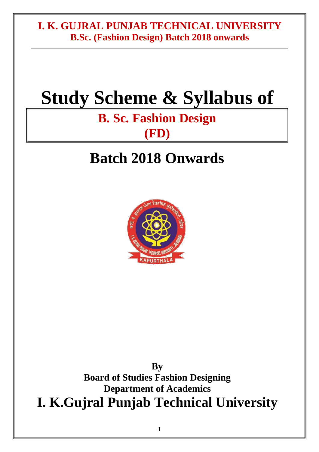## **Study Scheme & Syllabus of**

## **B. Sc. Fashion Design (FD)**

## **Batch 2018 Onwards**



**By Board of Studies Fashion Designing Department of Academics I. K.Gujral Punjab Technical University**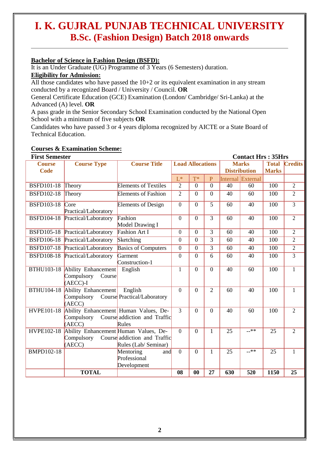#### **Bachelor of Science in Fashion Design (BSFD):**

It is an Under Graduate (UG) Programme of 3 Years (6 Semesters) duration.

#### **Eligibility for Admission:**

All those candidates who have passed the  $10+2$  or its equivalent examination in any stream conducted by a recognized Board / University / Council. **OR**

General Certificate Education (GCE) Examination (London/ Cambridge/ Sri-Lanka) at the Advanced (A) level. **OR**

A pass grade in the Senior Secondary School Examination conducted by the National Open School with a minimum of five subjects **OR**

Candidates who have passed 3 or 4 years diploma recognized by AICTE or a State Board of Technical Education.

#### **Courses & Examination Scheme:**

| <b>First Semester</b> |                                                                         |                                                      |                                         |                |                     |                  | <b>Contact Hrs: 35Hrs</b> |                      |                 |
|-----------------------|-------------------------------------------------------------------------|------------------------------------------------------|-----------------------------------------|----------------|---------------------|------------------|---------------------------|----------------------|-----------------|
| <b>Course</b>         | <b>Course Type</b>                                                      | <b>Course Title</b>                                  | <b>Load Allocations</b><br><b>Marks</b> |                |                     |                  |                           | <b>Total Credits</b> |                 |
| <b>Code</b>           |                                                                         |                                                      |                                         |                | <b>Distribution</b> |                  | <b>Marks</b>              |                      |                 |
|                       |                                                                         |                                                      | $L^*$                                   | $T^*$          | $\mathbf{P}$        |                  | Internal External         |                      |                 |
| <b>BSFD101-18</b>     | Theory                                                                  | <b>Elements of Textiles</b>                          | $\overline{2}$                          | $\Omega$       | $\Omega$            | 40               | 60                        | 100                  | $\overline{2}$  |
| <b>BSFD102-18</b>     | Theory                                                                  | <b>Elements of Fashion</b>                           | $\overline{2}$                          | $\Omega$       | $\Omega$            | 40               | 60                        | 100                  | $\overline{2}$  |
| <b>BSFD103-18</b>     | Core<br>Practical/Laboratory                                            | <b>Elements of Design</b>                            | $\overline{0}$                          | $\Omega$       | 5                   | 60               | 40                        | 100                  | $\overline{3}$  |
| <b>BSFD104-18</b>     | Practical/Laboratory                                                    | Fashion<br>Model Drawing I                           | $\theta$                                | $\Omega$       | 3                   | 60               | 40                        | 100                  | $\overline{2}$  |
| <b>BSFD105-18</b>     | Practical/Laboratory                                                    | <b>Fashion Art I</b>                                 | $\theta$                                | $\overline{0}$ | $\overline{3}$      | 60               | 40                        | 100                  | $\overline{2}$  |
| <b>BSFD106-18</b>     | Practical/Laboratory                                                    | Sketching                                            | $\theta$                                | $\theta$       | 3                   | 60               | 40                        | 100                  | $\overline{2}$  |
| <b>BSFD107-18</b>     | Practical/Laboratory                                                    | <b>Basics of Computers</b>                           | $\theta$                                | $\overline{0}$ | 3                   | 60               | 40                        | 100                  | $\overline{2}$  |
| <b>BSFD108-18</b>     | Practical/Laboratory                                                    | Garment<br>Construction-1                            | $\overline{0}$                          | $\overline{0}$ | 6                   | 60               | 40                        | 100                  | $\overline{3}$  |
| <b>BTHU103-18</b>     | <b>Ability Enhancement</b><br>Compulsory<br>Course<br>$(AECC)$ -I       | English                                              | 1                                       | $\overline{0}$ | $\overline{0}$      | $\overline{40}$  | 60                        | 100                  | $\overline{1}$  |
| <b>BTHU104-18</b>     | Ability Enhancement<br>Compulsory Course Practical/Laboratory<br>(AECC) | English                                              | $\theta$                                | $\theta$       | $\overline{2}$      | 60               | 40                        | 100                  | $\mathbf{1}$    |
| <b>HVPE101-18</b>     | Ability Enhancement Human Values, De-<br>(AECC)                         | Compulsory Course addiction and Traffic<br>Rules     | $\overline{3}$                          | $\overline{0}$ | $\overline{0}$      | 40               | 60                        | 100                  | $\overline{2}$  |
| <b>HVPE102-18</b>     | Ability Enhancement Human Values, De-<br>Compulsory<br>(AECC)           | Course addiction and Traffic<br>Rules (Lab/ Seminar) | $\theta$                                | $\Omega$       | $\mathbf{1}$        | 25               | $x^*$                     | 25                   | $\overline{2}$  |
| <b>BMPD102-18</b>     |                                                                         | Mentoring<br>and<br>Professional<br>Development      | $\overline{0}$                          | $\overline{0}$ | $\mathbf{1}$        | 25               | $-***$                    | 25                   | $\mathbf{1}$    |
|                       | <b>TOTAL</b>                                                            |                                                      | 08                                      | $\bf{00}$      | $\overline{27}$     | $\overline{630}$ | 520                       | <b>1150</b>          | $\overline{25}$ |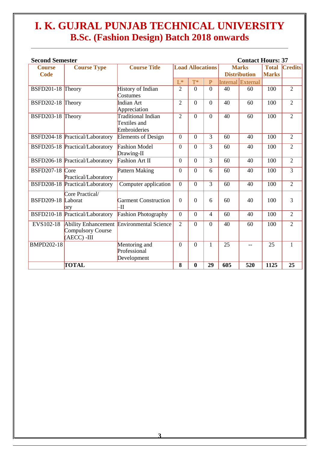| <b>Second Semester</b> |                                        |                                                    |                         |                |                |                     | <b>Contact Hours: 37</b> |              |                     |
|------------------------|----------------------------------------|----------------------------------------------------|-------------------------|----------------|----------------|---------------------|--------------------------|--------------|---------------------|
| <b>Course</b>          | <b>Course Type</b>                     | <b>Course Title</b>                                | <b>Load Allocations</b> |                |                | <b>Marks</b>        |                          | <b>Total</b> | C <sub>redits</sub> |
| <b>Code</b>            |                                        |                                                    |                         |                |                | <b>Distribution</b> |                          | <b>Marks</b> |                     |
|                        |                                        |                                                    | $L^*$                   | $T^*$          | $\overline{P}$ |                     | Internal External        |              |                     |
| BSFD201-18 Theory      |                                        | History of Indian<br>Costumes                      | $\overline{2}$          | $\overline{0}$ | $\overline{0}$ | 40                  | 60                       | 100          | $\overline{2}$      |
| BSFD202-18 Theory      |                                        | Indian Art<br>Appreciation                         | $\mathfrak{2}$          | $\theta$       | $\Omega$       | 40                  | 60                       | 100          | $\mathfrak{2}$      |
| BSFD203-18 Theory      |                                        | Traditional Indian<br>Textiles and<br>Embroideries | $\overline{2}$          | $\theta$       | $\Omega$       | 40                  | 60                       | 100          | $\overline{2}$      |
|                        | <b>BSFD204-18 Practical/Laboratory</b> | <b>Elements of Design</b>                          | $\theta$                | $\overline{0}$ | $\overline{3}$ | 60                  | 40                       | 100          | $\overline{2}$      |
|                        | BSFD205-18 Practical/Laboratory        | <b>Fashion Model</b><br>Drawing-II                 | $\theta$                | $\overline{0}$ | 3              | 60                  | 40                       | 100          | $\overline{2}$      |
|                        | BSFD206-18 Practical/Laboratory        | <b>Fashion Art II</b>                              | $\theta$                | $\overline{0}$ | 3              | 60                  | 40                       | 100          | $\overline{2}$      |
| BSFD207-18 Core        | Practical/Laboratory                   | Pattern Making                                     | $\theta$                | $\overline{0}$ | 6              | 60                  | 40                       | 100          | 3                   |
|                        | BSFD208-18 Practical/Laboratory        | Computer application                               | $\theta$                | $\theta$       | 3              | 60                  | 40                       | 100          | $\overline{2}$      |
| BSFD209-18 Laborat     | Core Practical/<br>orv                 | <b>Garment Construction</b><br>-11                 | $\theta$                | $\theta$       | 6              | 60                  | 40                       | 100          | 3                   |
|                        | BSFD210-18 Practical/Laboratory        | <b>Fashion Photography</b>                         | $\theta$                | $\Omega$       | $\overline{4}$ | 60                  | 40                       | 100          | $\overline{2}$      |
| EVS102-18              | Compulsory Course<br>$(AECC) - III$    | Ability Enhancement Environmental Science          | $\overline{2}$          | $\theta$       | $\Omega$       | 40                  | 60                       | 100          | $\overline{2}$      |
| <b>BMPD202-18</b>      |                                        | Mentoring and<br>Professional<br>Development       | $\theta$                | $\theta$       | 1              | $\overline{25}$     | $-$                      | 25           | $\mathbf{1}$        |
|                        | <b>TOTAL</b>                           |                                                    | 8                       | $\bf{0}$       | 29             | 605                 | 520                      | 1125         | 25                  |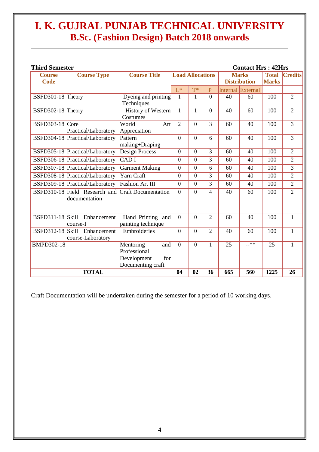| <b>Third Semester</b>   |                                 |                            |                         |                |                |                     | <b>Contact Hrs: 42Hrs</b> |              |                |
|-------------------------|---------------------------------|----------------------------|-------------------------|----------------|----------------|---------------------|---------------------------|--------------|----------------|
| <b>Course</b>           | <b>Course Type</b>              | <b>Course Title</b>        | <b>Load Allocations</b> |                |                | <b>Marks</b>        |                           | <b>Total</b> | <b>Credits</b> |
| <b>Code</b>             |                                 |                            |                         |                |                | <b>Distribution</b> |                           | <b>Marks</b> |                |
|                         |                                 |                            | $L^*$                   | $T^*$          | $\overline{P}$ |                     | Internal External         |              |                |
| BSFD301-18 Theory       |                                 | Dyeing and printing        | $\mathbf{1}$            | $\mathbf{1}$   | $\overline{0}$ | 40                  | 60                        | 100          | $\overline{2}$ |
|                         |                                 | Techniques                 |                         |                |                |                     |                           |              |                |
| BSFD302-18 Theory       |                                 | <b>History of Western</b>  | $\mathbf{1}$            | $\mathbf{1}$   | $\overline{0}$ | 40                  | 60                        | 100          | $\overline{2}$ |
|                         |                                 | Costumes                   |                         |                |                |                     |                           |              |                |
| <b>BSFD303-18</b> Core  |                                 | World<br>Art               | $\overline{2}$          | $\theta$       | 3              | 60                  | 40                        | 100          | 3              |
|                         | Practical/Laboratory            | Appreciation               |                         |                |                |                     |                           |              |                |
|                         | BSFD304-18 Practical/Laboratory | Pattern                    | $\theta$                | $\theta$       | 6              | 60                  | 40                        | 100          | 3              |
|                         |                                 | making+Draping             | $\theta$                |                | 3              |                     |                           |              |                |
|                         | BSFD305-18 Practical/Laboratory | Design Process             |                         | $\theta$       |                | 60                  | 40                        | 100          | $\overline{2}$ |
|                         | BSFD306-18 Practical/Laboratory | CAD I                      | $\theta$                | $\theta$       | 3              | 60                  | 40                        | 100          | $\overline{2}$ |
|                         | BSFD307-18 Practical/Laboratory | <b>Garment Making</b>      | $\Omega$                | $\theta$       | 6              | 60                  | 40                        | 100          | 3              |
|                         | BSFD308-18 Practical/Laboratory | Yarn Craft                 | $\theta$                | $\theta$       | 3              | 60                  | 40                        | 100          | $\overline{2}$ |
|                         | BSFD309-18 Practical/Laboratory | Fashion Art III            | $\overline{0}$          | $\overline{0}$ | 3              | 60                  | 40                        | 100          | $\overline{2}$ |
|                         | BSFD310-18 Field Research and   | <b>Craft Documentation</b> | $\theta$                | $\theta$       | 4              | 40                  | 60                        | 100          | $\overline{2}$ |
|                         | documentation                   |                            |                         |                |                |                     |                           |              |                |
|                         |                                 |                            |                         |                |                |                     |                           |              |                |
| <b>BSFD311-18 Skill</b> | Enhancement                     | Hand Printing and          | $\theta$                | $\theta$       | $\overline{2}$ | 60                  | 40                        | 100          | $\mathbf{1}$   |
|                         | course-I                        | painting technique         |                         |                |                |                     |                           |              |                |
| <b>BSFD312-18 Skill</b> | Enhancement                     | Embroideries               | $\theta$                | $\theta$       | $\overline{2}$ | 40                  | 60                        | 100          | $\mathbf{1}$   |
|                         | course-Laboratory               |                            |                         |                |                |                     |                           |              |                |
| <b>BMPD302-18</b>       |                                 | Mentoring<br>and           | $\Omega$                | $\theta$       | 1              | 25                  | $-***$                    | 25           | $\mathbf{1}$   |
|                         |                                 | Professional               |                         |                |                |                     |                           |              |                |
|                         |                                 | Development<br>for         |                         |                |                |                     |                           |              |                |
|                         |                                 | Documenting craft          |                         |                |                |                     |                           |              |                |
|                         | <b>TOTAL</b>                    |                            | 04                      | 02             | 36             | 665                 | 560                       | 1225         | 26             |

Craft Documentation will be undertaken during the semester for a period of 10 working days.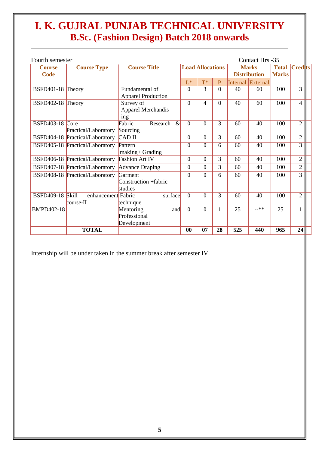| Fourth semester              |                                   |                                                 |                         |          |                |     | Contact Hrs -35                     |                              |                |  |
|------------------------------|-----------------------------------|-------------------------------------------------|-------------------------|----------|----------------|-----|-------------------------------------|------------------------------|----------------|--|
| <b>Course</b><br><b>Code</b> | <b>Course Type</b>                | <b>Course Title</b>                             | <b>Load Allocations</b> |          |                |     | <b>Marks</b><br><b>Distribution</b> | <b>Total</b><br><b>Marks</b> | <b>Credits</b> |  |
|                              |                                   |                                                 | $L^*$                   | $T^*$    | $\overline{P}$ |     | Internal External                   |                              |                |  |
| BSFD401-18 Theory            |                                   | Fundamental of<br><b>Apparel Production</b>     | $\theta$                | 3        | $\Omega$       | 40  | 60                                  | 100                          | $\overline{3}$ |  |
| BSFD402-18 Theory            |                                   | Survey of<br><b>Apparel Merchandis</b><br>ing   | $\theta$                | 4        | $\theta$       | 40  | 60                                  | 100                          | $\overline{4}$ |  |
| <b>BSFD403-18</b>            | Core<br>Practical/Laboratory      | Fabric<br>$\alpha$<br>Research<br>Sourcing      | $\theta$                | $\Omega$ | 3              | 60  | 40                                  | 100                          | $\overline{2}$ |  |
|                              | BSFD404-18 Practical/Laboratory   | <b>CAD II</b>                                   | $\theta$                | $\theta$ | 3              | 60  | 40                                  | 100                          | $\overline{2}$ |  |
|                              | BSFD405-18 Practical/Laboratory   | Pattern<br>making+ Grading                      | $\theta$                | 0        | 6              | 60  | 40                                  | 100                          | 3              |  |
|                              | BSFD406-18 Practical/Laboratory   | <b>Fashion Art IV</b>                           | $\theta$                | $\theta$ | 3              | 60  | 40                                  | 100                          | $\overline{2}$ |  |
|                              | BSFD407-18 Practical/Laboratory   | <b>Advance Draping</b>                          | $\theta$                | $\theta$ | 3              | 60  | 40                                  | 100                          | $\overline{2}$ |  |
|                              | BSFD408-18 Practical/Laboratory   | Garment<br>Construction +fabric<br>studies      | $\theta$                | $\Omega$ | 6              | 60  | 40                                  | 100                          | 3              |  |
| <b>BSFD409-18 Skill</b>      | enhancement Fabric<br>$course-II$ | surface<br>technique                            | $\theta$                | $\Omega$ | 3              | 60  | 40                                  | 100                          | $\overline{2}$ |  |
| BMPD402-18                   |                                   | Mentoring<br>and<br>Professional<br>Development | $\theta$                | $\Omega$ |                | 25  | $-***$                              | 25                           | 1              |  |
|                              | <b>TOTAL</b>                      |                                                 | $\bf{00}$               | 07       | 28             | 525 | 440                                 | 965                          | 24             |  |

Internship will be under taken in the summer break after semester IV.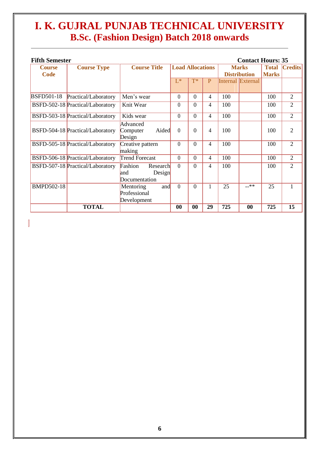| <b>Fifth Semester</b>        |                                  |                                                       |                         |                |              |                                     | <b>Contact Hours: 35</b>     |                |                |
|------------------------------|----------------------------------|-------------------------------------------------------|-------------------------|----------------|--------------|-------------------------------------|------------------------------|----------------|----------------|
| <b>Course</b><br><b>Code</b> | <b>Course Type</b>               | <b>Course Title</b>                                   | <b>Load Allocations</b> |                |              | <b>Marks</b><br><b>Distribution</b> | <b>Total</b><br><b>Marks</b> | <b>Credits</b> |                |
|                              |                                  |                                                       | $L^*$                   | $T^*$          | $\mathbf{P}$ |                                     | Internal External            |                |                |
| <b>BSFD501-18</b>            | Practical/Laboratory             | Men's wear                                            | $\Omega$                | $\overline{0}$ | 4            | 100                                 |                              | 100            | 2              |
|                              | BSFD-502-18 Practical/Laboratory | Knit Wear                                             | $\Omega$                | $\Omega$       | 4            | 100                                 |                              | 100            | $\overline{2}$ |
|                              | BSFD-503-18 Practical/Laboratory | Kids wear                                             | $\Omega$                | $\Omega$       | 4            | 100                                 |                              | 100            | $\overline{2}$ |
|                              | BSFD-504-18 Practical/Laboratory | Advanced<br>Aided<br>Computer<br>Design               | $\Omega$                | $\Omega$       | 4            | 100                                 |                              | 100            | $\overline{2}$ |
|                              | BSFD-505-18 Practical/Laboratory | Creative pattern<br>making                            | $\theta$                | $\Omega$       | 4            | 100                                 |                              | 100            | $\overline{2}$ |
|                              | BSFD-506-18 Practical/Laboratory | <b>Trend Forecast</b>                                 | $\Omega$                | $\Omega$       | 4            | 100                                 |                              | 100            | $\overline{2}$ |
|                              | BSFD-507-18 Practical/Laboratory | Fashion<br>Research<br>and<br>Design<br>Documentation | $\Omega$                | $\Omega$       | 4            | 100                                 |                              | 100            | $\overline{2}$ |
| <b>BMPD502-18</b>            |                                  | and<br>Mentoring<br>Professional<br>Development       | $\Omega$                | 0              |              | 25                                  | $-***$                       | 25             | 1              |
|                              | <b>TOTAL</b>                     |                                                       | $\bf{00}$               | 00             | 29           | 725                                 | $\bf{00}$                    | 725            | 15             |

 $\begin{array}{c} \hline \end{array}$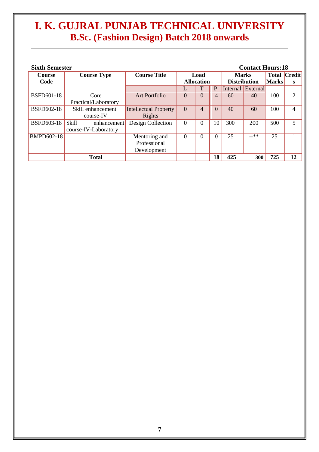| <b>Sixth Semester</b><br><b>Contact Hours:18</b> |                      |                              |                      |                   |              |                     |                     |              |                             |
|--------------------------------------------------|----------------------|------------------------------|----------------------|-------------------|--------------|---------------------|---------------------|--------------|-----------------------------|
| <b>Course</b>                                    | <b>Course Type</b>   | <b>Course Title</b>          | Load<br><b>Marks</b> |                   |              |                     | <b>Total Credit</b> |              |                             |
| Code                                             |                      |                              |                      | <b>Allocation</b> |              | <b>Distribution</b> |                     | <b>Marks</b> | S                           |
|                                                  |                      |                              |                      |                   | $\mathbf{P}$ |                     | Internal External   |              |                             |
| <b>BSFD601-18</b>                                | Core                 | <b>Art Portfolio</b>         | $\Omega$             | $\Omega$          | 4            | 60                  | 40                  | 100          | $\mathcal{D}_{\mathcal{L}}$ |
|                                                  | Practical/Laboratory |                              |                      |                   |              |                     |                     |              |                             |
| <b>BSFD602-18</b>                                | Skill enhancement    | <b>Intellectual Property</b> | $\Omega$             | 4                 | $\theta$     | 40                  | 60                  | 100          | $\overline{4}$              |
|                                                  | course-IV            | Rights                       |                      |                   |              |                     |                     |              |                             |
| <b>BSFD603-18</b>                                | Skill<br>enhancement | Design Collection            | 0                    | $\Omega$          | 10           | 300                 | 200                 | 500          | 5                           |
|                                                  | course-IV-Laboratory |                              |                      |                   |              |                     |                     |              |                             |
| <b>BMPD602-18</b>                                |                      | Mentoring and                | $\Omega$             | $\Omega$          |              | 25                  | $-***$              | 25           |                             |
|                                                  |                      | Professional                 |                      |                   |              |                     |                     |              |                             |
|                                                  |                      | Development                  |                      |                   |              |                     |                     |              |                             |
|                                                  | <b>Total</b>         |                              |                      |                   | 18           | 425                 | 300                 | 725          | 12                          |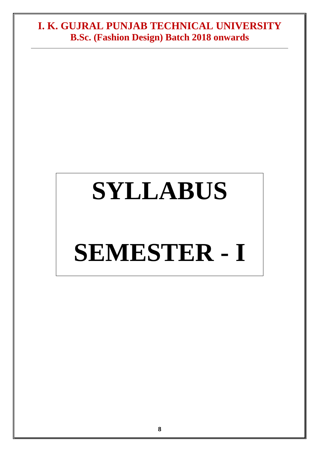# **SYLLABUS**

## **SEMESTER - I**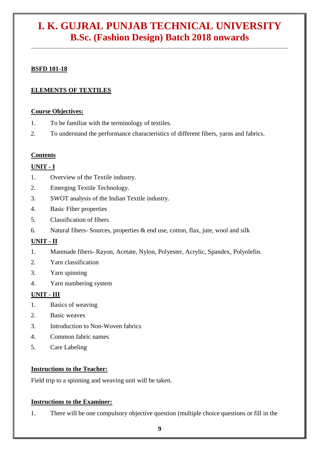#### **BSFD 101-18**

#### **ELEMENTS OF TEXTILES**

#### **Course Objectives:**

- 1. To be familiar with the terminology of textiles.
- 2. To understand the performance characteristics of different fibers, yarns and fabrics.

#### **Contents**

#### **UNIT - I**

- 1. Overview of the Textile industry.
- 2. Emerging Textile Technology.
- 3. SWOT analysis of the Indian Textile industry.
- 4. Basic Fiber properties
- 5. Classification of fibers
- 6. Natural fibers- Sources, properties & end use, cotton, flax, jute, wool and silk

#### **UNIT - II**

- 1. Manmade fibers- Rayon, Acetate, Nylon, Polyester, Acrylic, Spandex, Polyolefin.
- 2. Yarn classification
- 3. Yarn spinning
- 4. Yarn numbering system

#### **UNIT - III**

- 1. Basics of weaving
- 2. Basic weaves
- 3. Introduction to Non-Woven fabrics
- 4. Common fabric names
- 5. Care Labeling

#### **Instructions to the Teacher:**

Field trip to a spinning and weaving unit will be taken.

#### **Instructions to the Examiner:**

1. There will be one compulsory objective question (multiple choice questions or fill in the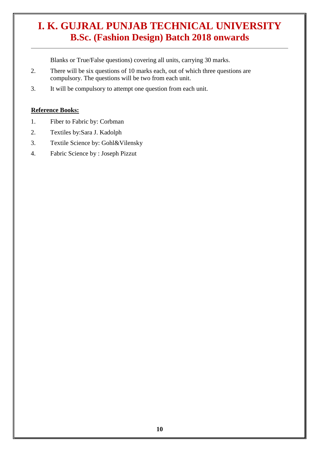Blanks or True/False questions) covering all units, carrying 30 marks.

- 2. There will be six questions of 10 marks each, out of which three questions are compulsory. The questions will be two from each unit.
- 3. It will be compulsory to attempt one question from each unit.

#### **Reference Books:**

- 1. Fiber to Fabric by: Corbman
- 2. Textiles by:Sara J. Kadolph
- 3. Textile Science by: Gohl&Vilensky
- 4. Fabric Science by : Joseph Pizzut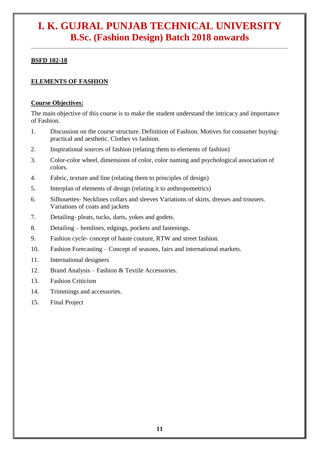#### **BSFD 102-18**

#### **ELEMENTS OF FASHION**

#### **Course Objectives:**

The main objective of this course is to make the student understand the intricacy and importance of Fashion.

- 1. Discussion on the course structure. Definition of Fashion. Motives for consumer buyingpractical and aesthetic. Clothes vs fashion.
- 2. Inspirational sources of fashion (relating them to elements of fashion)
- 3. Color-color wheel, dimensions of color, color naming and psychological association of colors.
- 4. Fabric, texture and line (relating them to principles of design)
- 5. Interplan of elements of design (relating it to anthropometrics)
- 6. Silhouettes- Necklines collars and sleeves Variations of skirts, dresses and trousers. Variations of coats and jackets
- 7. Detailing- pleats, tucks, darts, yokes and godets.
- 8. Detailing hemlines, edgings, pockets and fastenings.
- 9. Fashion cycle- concept of haute couture, RTW and street fashion.
- 10. Fashion Forecasting Concept of seasons, fairs and international markets.
- 11. International designers
- 12. Brand Analysis Fashion & Textile Accessories.
- 13. Fashion Criticism
- 14. Trimmings and accessories.
- 15. Final Project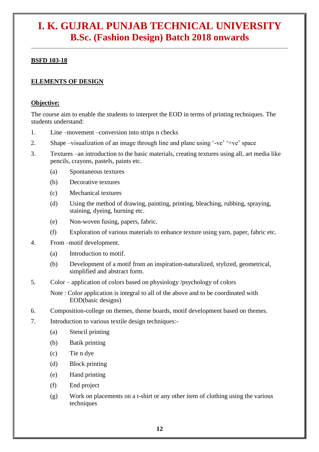#### **BSFD 103-18**

#### **ELEMENTS OF DESIGN**

#### **Objective:**

The course aim to enable the students to interpret the EOD in terms of printing techniques. The students understand:

- 1. Line –movement –conversion into strips n checks
- 2. Shape –visualization of an image through line and plane using '-ve' '+ve' space
- 3. Textures –an introduction to the basic materials, creating textures using all, art media like pencils, crayons, pastels, paints etc.
	- (a) Spontaneous textures
	- (b) Decorative textures
	- (c) Mechanical textures
	- (d) Using the method of drawing, painting, printing, bleaching, rubbing, spraying, staining, dyeing, burning etc.
	- (e) Non-woven fusing, papers, fabric.
	- (f) Exploration of various materials to enhance texture using yarn, paper, fabric etc.
- 4. From –motif development.
	- (a) Introduction to motif.
	- (b) Development of a motif from an inspiration-naturalized, stylized, geometrical, simplified and abstract form.
- 5. Color application of colors based on physiology /psychology of colors
	- Note : Color application is integral to all of the above and to be coordinated with EOD(basic designs)
- 6. Composition-college on themes, theme boards, motif development based on themes.
- 7. Introduction to various textile design techniques:-
	- (a) Stencil printing
	- (b) Batik printing
	- (c) Tie n dye
	- (d) Block printing
	- (e) Hand printing
	- (f) End project
	- (g) Work on placements on a t-shirt or any other item of clothing using the various techniques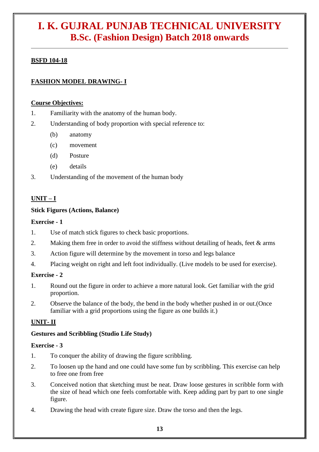#### **BSFD 104-18**

#### **FASHION MODEL DRAWING- I**

#### **Course Objectives:**

- 1. Familiarity with the anatomy of the human body.
- 2. Understanding of body proportion with special reference to:
	- (b) anatomy
	- (c) movement
	- (d) Posture
	- (e) details
- 3. Understanding of the movement of the human body

#### **UNIT – I**

#### **Stick Figures (Actions, Balance)**

#### **Exercise - 1**

- 1. Use of match stick figures to check basic proportions.
- 2. Making them free in order to avoid the stiffness without detailing of heads, feet & arms
- 3. Action figure will determine by the movement in torso and legs balance
- 4. Placing weight on right and left foot individually. (Live models to be used for exercise).

#### **Exercise - 2**

- 1. Round out the figure in order to achieve a more natural look. Get familiar with the grid proportion.
- 2. Observe the balance of the body, the bend in the body whether pushed in or out.(Once familiar with a grid proportions using the figure as one builds it.)

#### **UNIT- II**

#### **Gestures and Scribbling (Studio Life Study)**

#### **Exercise - 3**

- 1. To conquer the ability of drawing the figure scribbling.
- 2. To loosen up the hand and one could have some fun by scribbling. This exercise can help to free one from free
- 3. Conceived notion that sketching must be neat. Draw loose gestures in scribble form with the size of head which one feels comfortable with. Keep adding part by part to one single figure.
- 4. Drawing the head with create figure size. Draw the torso and then the legs.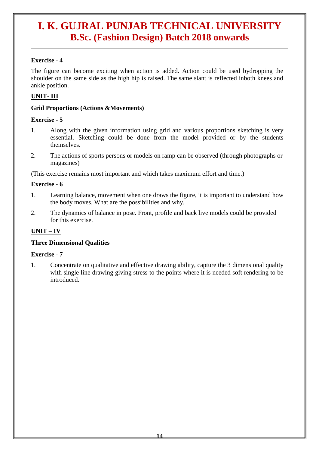#### **Exercise - 4**

The figure can become exciting when action is added. Action could be used bydropping the shoulder on the same side as the high hip is raised. The same slant is reflected inboth knees and ankle position.

#### **UNIT- III**

#### **Grid Proportions (Actions &Movements)**

#### **Exercise - 5**

- 1. Along with the given information using grid and various proportions sketching is very essential. Sketching could be done from the model provided or by the students themselves.
- 2. The actions of sports persons or models on ramp can be observed (through photographs or magazines)

(This exercise remains most important and which takes maximum effort and time.)

#### **Exercise - 6**

- 1. Learning balance, movement when one draws the figure, it is important to understand how the body moves. What are the possibilities and why.
- 2. The dynamics of balance in pose. Front, profile and back live models could be provided for this exercise.

#### **UNIT – IV**

#### **Three Dimensional Qualities**

#### **Exercise - 7**

1. Concentrate on qualitative and effective drawing ability, capture the 3 dimensional quality with single line drawing giving stress to the points where it is needed soft rendering to be introduced.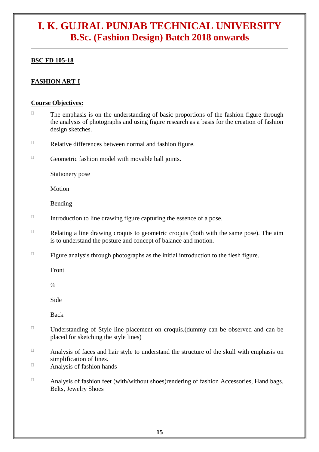#### **BSC FD 105-18**

#### **FASHION ART-I**

#### **Course Objectives:**

- $\Box$ The emphasis is on the understanding of basic proportions of the fashion figure through the analysis of photographs and using figure research as a basis for the creation of fashion design sketches.
- $\Box$ Relative differences between normal and fashion figure.
- $\Box$ Geometric fashion model with movable ball joints.

Stationery pose

Motion

Bending

- $\Box$ Introduction to line drawing figure capturing the essence of a pose.
- $\Box$ Relating a line drawing croquis to geometric croquis (both with the same pose). The aim is to understand the posture and concept of balance and motion.
- $\Box$ Figure analysis through photographs as the initial introduction to the flesh figure.

Front

 $3/4$ 

Side

Back

- $\Box$ Understanding of Style line placement on croquis.(dummy can be observed and can be placed for sketching the style lines)
- $\Box$ Analysis of faces and hair style to understand the structure of the skull with emphasis on simplification of lines.

 $\Box$ Analysis of fashion hands

 $\Box$ Analysis of fashion feet (with/without shoes)rendering of fashion Accessories, Hand bags, Belts, Jewelry Shoes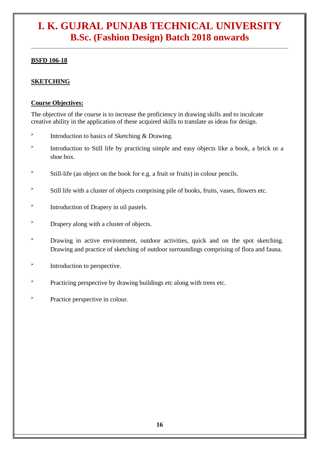#### **BSFD 106-18**

#### **SKETCHING**

#### **Course Objectives:**

The objective of the course is to increase the proficiency in drawing skills and to inculcate creative ability in the application of these acquired skills to translate as ideas for design.

- $\blacktriangleright$ Introduction to basics of Sketching & Drawing.
- $\blacktriangleright$ Introduction to Still life by practicing simple and easy objects like a book, a brick or a shoe box.
- $\overrightarrow{B}$  Still-life (an object on the book for e.g. a fruit or fruits) in colour pencils.
- $\overrightarrow{B}$  Still life with a cluster of objects comprising pile of books, fruits, vases, flowers etc.
- $\blacktriangleright$ Introduction of Drapery in oil pastels.
- > Drapery along with a cluster of objects.
- > Drawing in active environment, outdoor activities, quick and on the spot sketching. Drawing and practice of sketching of outdoor surroundings comprising of flora and fauna.
- $\blacktriangleright$ Introduction to perspective.
- > Practicing perspective by drawing buildings etc along with trees etc.
- $\lambda$  Practice perspective in colour.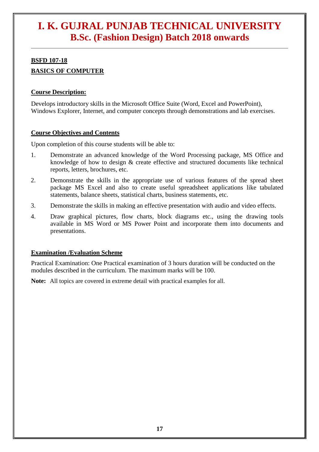#### **BSFD 107-18 BASICS OF COMPUTER**

#### **Course Description:**

Develops introductory skills in the Microsoft Office Suite (Word, Excel and PowerPoint), Windows Explorer, Internet, and computer concepts through demonstrations and lab exercises.

#### **Course Objectives and Contents**

Upon completion of this course students will be able to:

- 1. Demonstrate an advanced knowledge of the Word Processing package, MS Office and knowledge of how to design & create effective and structured documents like technical reports, letters, brochures, etc.
- 2. Demonstrate the skills in the appropriate use of various features of the spread sheet package MS Excel and also to create useful spreadsheet applications like tabulated statements, balance sheets, statistical charts, business statements, etc.
- 3. Demonstrate the skills in making an effective presentation with audio and video effects.
- 4. Draw graphical pictures, flow charts, block diagrams etc., using the drawing tools available in MS Word or MS Power Point and incorporate them into documents and presentations.

#### **Examination /Evaluation Scheme**

Practical Examination: One Practical examination of 3 hours duration will be conducted on the modules described in the curriculum. The maximum marks will be 100.

**Note:** All topics are covered in extreme detail with practical examples for all.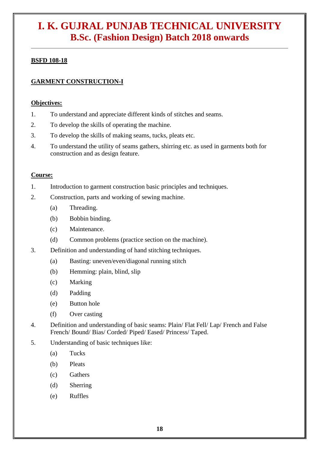#### **BSFD 108-18**

#### **GARMENT CONSTRUCTION-I**

#### **Objectives:**

- 1. To understand and appreciate different kinds of stitches and seams.
- 2. To develop the skills of operating the machine.
- 3. To develop the skills of making seams, tucks, pleats etc.
- 4. To understand the utility of seams gathers, shirring etc. as used in garments both for construction and as design feature.

#### **Course:**

- 1. Introduction to garment construction basic principles and techniques.
- 2. Construction, parts and working of sewing machine.
	- (a) Threading.
	- (b) Bobbin binding.
	- (c) Maintenance.
	- (d) Common problems (practice section on the machine).
- 3. Definition and understanding of hand stitching techniques.
	- (a) Basting: uneven/even/diagonal running stitch
	- (b) Hemming: plain, blind, slip
	- (c) Marking
	- (d) Padding
	- (e) Button hole
	- (f) Over casting
- 4. Definition and understanding of basic seams: Plain/ Flat Fell/ Lap/ French and False French/ Bound/ Bias/ Corded/ Piped/ Eased/ Princess/ Taped.
- 5. Understanding of basic techniques like:
	- (a) Tucks
	- (b) Pleats
	- (c) Gathers
	- (d) Sherring
	- (e) Ruffles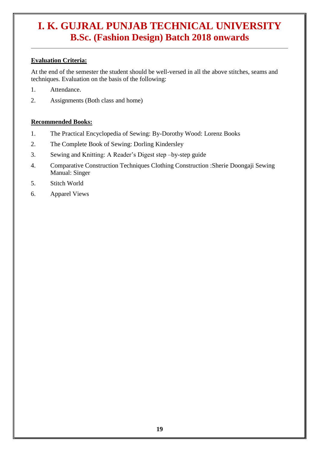#### **Evaluation Criteria:**

At the end of the semester the student should be well-versed in all the above stitches, seams and techniques. Evaluation on the basis of the following:

- 1. Attendance.
- 2. Assignments (Both class and home)

#### **Recommended Books:**

- 1. The Practical Encyclopedia of Sewing: By-Dorothy Wood: Lorenz Books
- 2. The Complete Book of Sewing: Dorling Kindersley
- 3. Sewing and Knitting: A Reader's Digest step –by-step guide
- 4. Comparative Construction Techniques Clothing Construction :Sherie Doongaji Sewing Manual: Singer
- 5. Stitch World
- 6. Apparel Views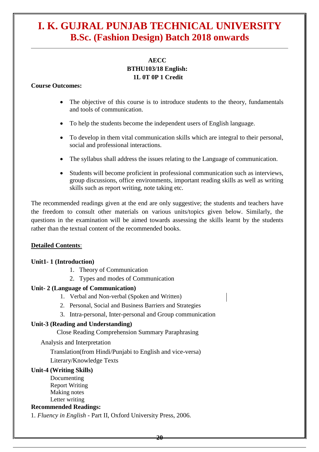#### **AECC BTHU103/18 English: 1L 0T 0P 1 Credit**

#### **Course Outcomes:**

- The objective of this course is to introduce students to the theory, fundamentals and tools of communication.
- To help the students become the independent users of English language.
- To develop in them vital communication skills which are integral to their personal, social and professional interactions.
- The syllabus shall address the issues relating to the Language of communication.
- Students will become proficient in professional communication such as interviews, group discussions, office environments, important reading skills as well as writing skills such as report writing, note taking etc.

The recommended readings given at the end are only suggestive; the students and teachers have the freedom to consult other materials on various units/topics given below. Similarly, the questions in the examination will be aimed towards assessing the skills learnt by the students rather than the textual content of the recommended books.

#### **Detailed Contents**:

#### **Unit1- 1 (Introduction)**

- 1. Theory of Communication
- 2. Types and modes of Communication

#### **Unit- 2 (Language of Communication)**

- 1. Verbal and Non-verbal (Spoken and Written)
- 2. Personal, Social and Business Barriers and Strategies
- 3. Intra-personal, Inter-personal and Group communication

#### **Unit-3 (Reading and Understanding)**

Close Reading Comprehension Summary Paraphrasing

Analysis and Interpretation

Translation(from Hindi/Punjabi to English and vice-versa) Literary/Knowledge Texts

#### **Unit-4 (Writing Skills)**

Documenting Report Writing Making notes Letter writing

#### **Recommended Readings:**

1. *Fluency in English* - Part II, Oxford University Press, 2006.

**20**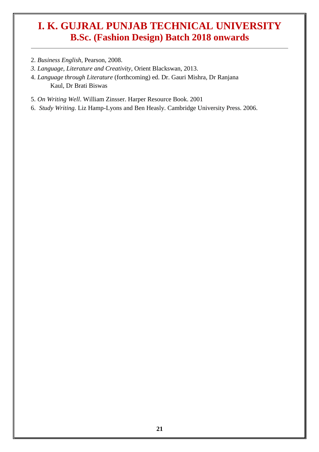- 2. *Business English*, Pearson, 2008.
- *3. Language, Literature and Creativity*, Orient Blackswan, 2013.
- 4. *Language through Literature* (forthcoming) ed. Dr. Gauri Mishra, Dr Ranjana Kaul, Dr Brati Biswas
- 5. *On Writing Well*. William Zinsser. Harper Resource Book. 2001
- 6. *Study Writing.* Liz Hamp-Lyons and Ben Heasly. Cambridge University Press. 2006.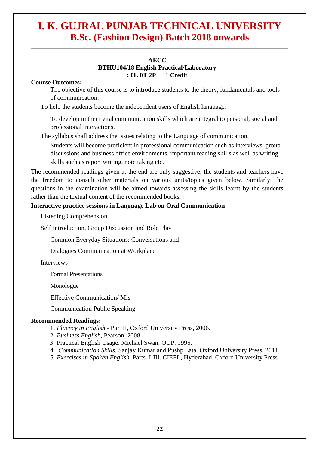#### **AECC BTHU104/18 English Practical/Laboratory : 0L 0T 2P 1 Credit**

#### **Course Outcomes:**

The objective of this course is to introduce students to the theory, fundamentals and tools of communication.

To help the students become the independent users of English language.

To develop in them vital communication skills which are integral to personal, social and professional interactions.

The syllabus shall address the issues relating to the Language of communication.

Students will become proficient in professional communication such as interviews, group discussions and business office environments, important reading skills as well as writing skills such as report writing, note taking etc.

The recommended readings given at the end are only suggestive; the students and teachers have the freedom to consult other materials on various units/topics given below. Similarly, the questions in the examination will be aimed towards assessing the skills learnt by the students rather than the textual content of the recommended books.

#### **Interactive practice sessions in Language Lab on Oral Communication**

Listening Comprehension

Self Introduction, Group Discussion and Role Play

Common Everyday Situations: Conversations and

Dialogues Communication at Workplace

Interviews

Formal Presentations

Monologue

Effective Communication/ Mis-

Communication Public Speaking

#### **Recommended Readings:**

- 1. *Fluency in English*  Part II, Oxford University Press, 2006.
- 2. *Business English*, Pearson, 2008.
- *3.* Practical English Usage. Michael Swan. OUP. 1995.
- 4. *Communication Skills*. Sanjay Kumar and Pushp Lata. Oxford University Press. 2011.
- 5. *Exercises in Spoken English*. Parts. I-III. CIEFL, Hyderabad. Oxford University Press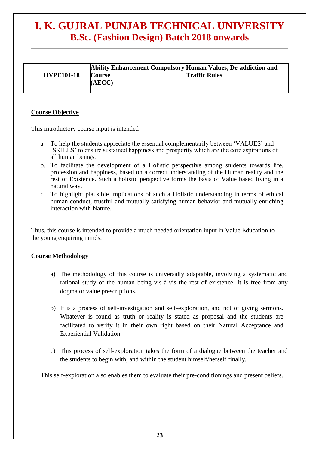| <b>HVPE101-18</b> | Ability Enhancement Compulsory Human Values, De-addiction and<br><b>Course</b><br>(AECC) | <b>Traffic Rules</b> |
|-------------------|------------------------------------------------------------------------------------------|----------------------|
|-------------------|------------------------------------------------------------------------------------------|----------------------|

#### **Course Objective**

This introductory course input is intended

- a. To help the students appreciate the essential complementarily between 'VALUES' and 'SKILLS' to ensure sustained happiness and prosperity which are the core aspirations of all human beings.
- b. To facilitate the development of a Holistic perspective among students towards life, profession and happiness, based on a correct understanding of the Human reality and the rest of Existence. Such a holistic perspective forms the basis of Value based living in a natural way.
- c. To highlight plausible implications of such a Holistic understanding in terms of ethical human conduct, trustful and mutually satisfying human behavior and mutually enriching interaction with Nature.

Thus, this course is intended to provide a much needed orientation input in Value Education to the young enquiring minds.

#### **Course Methodology**

- a) The methodology of this course is universally adaptable, involving a systematic and rational study of the human being vis-à-vis the rest of existence. It is free from any dogma or value prescriptions.
- b) It is a process of self-investigation and self-exploration, and not of giving sermons. Whatever is found as truth or reality is stated as proposal and the students are facilitated to verify it in their own right based on their Natural Acceptance and Experiential Validation.
- c) This process of self-exploration takes the form of a dialogue between the teacher and the students to begin with, and within the student himself/herself finally.

This self-exploration also enables them to evaluate their pre-conditionings and present beliefs.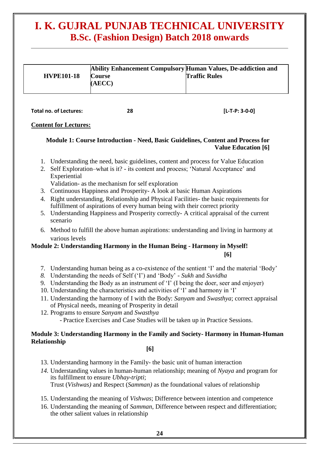| <b>HVPE101-18</b> | Ability Enhancement Compulsory Human Values, De-addiction and<br><b>Course</b><br>(AECC) | <b>Traffic Rules</b> |
|-------------------|------------------------------------------------------------------------------------------|----------------------|
|-------------------|------------------------------------------------------------------------------------------|----------------------|

**Total no. of Lectures: 28 [L-T-P: 3-0-0]**

#### **Content for Lectures:**

#### **Module 1: Course Introduction - Need, Basic Guidelines, Content and Process for Value Education [6]**

- 1. Understanding the need, basic guidelines, content and process for Value Education
- 2. Self Exploration–what is it? its content and process; 'Natural Acceptance' and Experiential

Validation- as the mechanism for self exploration

- 3. Continuous Happiness and Prosperity- A look at basic Human Aspirations
- 4. Right understanding, Relationship and Physical Facilities- the basic requirements for fulfillment of aspirations of every human being with their correct priority
- 5. Understanding Happiness and Prosperity correctly- A critical appraisal of the current scenario
- 6. Method to fulfill the above human aspirations: understanding and living in harmony at various levels

### **Module 2: Understanding Harmony in the Human Being - Harmony in Myself!**

**[6]**

- 7. Understanding human being as a co-existence of the sentient 'I' and the material 'Body'
- *8.* Understanding the needs of Self ('I') and 'Body' *Sukh* and *Suvidha*
- 9. Understanding the Body as an instrument of 'I' (I being the doer, seer and enjoyer)
- 10. Understanding the characteristics and activities of 'I' and harmony in 'I'
- 11. Understanding the harmony of I with the Body: *Sanyam* and *Swasthya*; correct appraisal of Physical needs, meaning of Prosperity in detail
- 12. Programs to ensure *Sanyam* and *Swasthya* - Practice Exercises and Case Studies will be taken up in Practice Sessions.

#### **Module 3: Understanding Harmony in the Family and Society- Harmony in Human-Human Relationship**

#### **[6]**

- 13. Understanding harmony in the Family- the basic unit of human interaction
- *14.* Understanding values in human-human relationship; meaning of *Nyaya* and program for its fulfillment to ensure *Ubhay-tripti*; Trust (*Vishwas)* and Respect (*Samman)* as the foundational values of relationship
- 15. Understanding the meaning of *Vishwas*; Difference between intention and competence
- 16. Understanding the meaning of *Samman*, Difference between respect and differentiation; the other salient values in relationship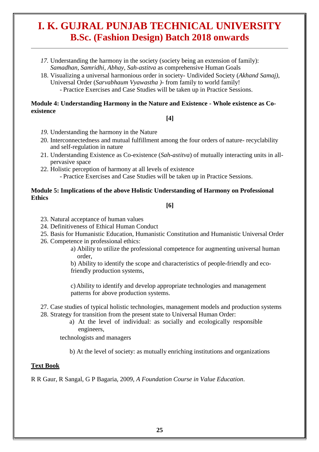- *17.* Understanding the harmony in the society (society being an extension of family): *Samadhan, Samridhi, Abhay, Sah-astitva* as comprehensive Human Goals
- 18. Visualizing a universal harmonious order in society- Undivided Society (*Akhand Samaj),* Universal Order (*Sarvabhaum Vyawastha )*- from family to world family! - Practice Exercises and Case Studies will be taken up in Practice Sessions.

#### **Module 4: Understanding Harmony in the Nature and Existence - Whole existence as Coexistence**

#### **[4]**

- *19.* Understanding the harmony in the Nature
- 20. Interconnectedness and mutual fulfillment among the four orders of nature- recyclability and self-regulation in nature
- 21. Understanding Existence as Co-existence (*Sah-astitva*) of mutually interacting units in allpervasive space
- 22. Holistic perception of harmony at all levels of existence - Practice Exercises and Case Studies will be taken up in Practice Sessions.

#### **Module 5: Implications of the above Holistic Understanding of Harmony on Professional Ethics**

#### **[6]**

- 23. Natural acceptance of human values
- 24. Definitiveness of Ethical Human Conduct
- 25. Basis for Humanistic Education, Humanistic Constitution and Humanistic Universal Order
- 26. Competence in professional ethics:
	- a) Ability to utilize the professional competence for augmenting universal human order,

b) Ability to identify the scope and characteristics of people-friendly and ecofriendly production systems,

c)Ability to identify and develop appropriate technologies and management patterns for above production systems.

- 27. Case studies of typical holistic technologies, management models and production systems
- 28. Strategy for transition from the present state to Universal Human Order:
	- a) At the level of individual: as socially and ecologically responsible engineers,

technologists and managers

b) At the level of society: as mutually enriching institutions and organizations

#### **Text Book**

R R Gaur, R Sangal, G P Bagaria, 2009, *A Foundation Course in Value Education*.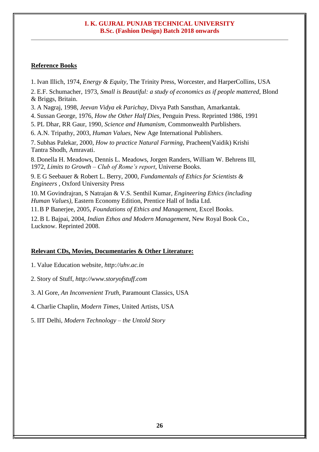#### **Reference Books**

1. Ivan Illich, 1974, *Energy & Equity,* The Trinity Press, Worcester, and HarperCollins, USA

2. E.F. Schumacher, 1973, *Small is Beautiful: a study of economics as if people mattered*, Blond & Briggs, Britain.

3. A Nagraj, 1998, *Jeevan Vidya ek Parichay,* Divya Path Sansthan, Amarkantak.

4. Sussan George, 1976, *How the Other Half Dies,* Penguin Press. Reprinted 1986, 1991

- 5. PL Dhar, RR Gaur, 1990, *Science and Humanism*, Commonwealth Purblishers.
- 6. A.N. Tripathy, 2003, *Human Values*, New Age International Publishers.

7. Subhas Palekar, 2000, *How to practice Natural Farming,* Pracheen(Vaidik) Krishi Tantra Shodh, Amravati.

8. Donella [H. Meadows, Dennis L. Meadows,](http://en.wikipedia.org/wiki/Donella_Meadows) [Jorgen Randers, William W. Behrens III,](http://en.wikipedia.org/wiki/J%C3%B8rgen_Randers)  1972, *Limits to Growth – Club of Rome's report*, Universe Books.

9. E G Seebauer & Robert L. Berry, 2000, *Fundamentals of Ethics for Scientists & Engineers ,* Oxford University Press

10. M Govindrajran, S Natrajan & V.S. Senthil Kumar, *Engineering Ethics (including Human Values)*, Eastern Economy Edition, Prentice Hall of India Ltd.

11.B P Banerjee, 2005, *Foundations of Ethics and Management,* Excel Books.

12.B L Bajpai, 2004, *Indian Ethos and Modern Management*, New Royal Book Co., Lucknow. Reprinted 2008.

#### **Relevant CDs, Movies, Documentaries & Other Literature:**

1. Value Education website, *http://uhv.ac.in*

2. Story of Stuff, *http://www.storyofstuff.com*

3. Al Gore, *An Inconvenient Truth*, Paramount Classics, USA

4. Charlie Chaplin, *Modern Times*, United Artists, USA

5. IIT Delhi, *Modern Technology – the Untold Story*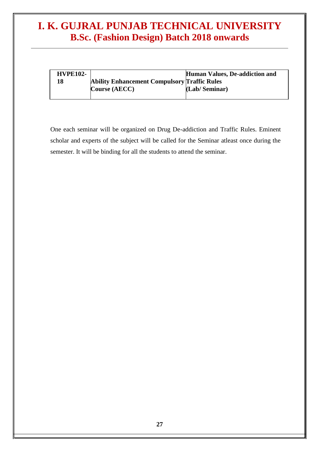| <b>HVPE102-</b> |                                                     | Human Values, De-addiction and |
|-----------------|-----------------------------------------------------|--------------------------------|
| 18              | <b>Ability Enhancement Compulsory Traffic Rules</b> |                                |
|                 | <b>Course (AECC)</b>                                | (Lab/Seminar)                  |
|                 |                                                     |                                |

One each seminar will be organized on Drug De-addiction and Traffic Rules. Eminent scholar and experts of the subject will be called for the Seminar atleast once during the semester. It will be binding for all the students to attend the seminar.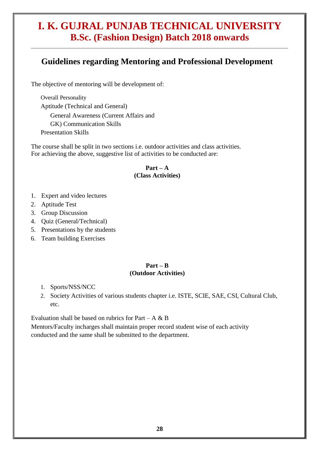#### **Guidelines regarding Mentoring and Professional Development**

The objective of mentoring will be development of:

Overall Personality Aptitude (Technical and General) General Awareness (Current Affairs and GK) Communication Skills Presentation Skills

The course shall be split in two sections i.e. outdoor activities and class activities. For achieving the above, suggestive list of activities to be conducted are:

#### $Part - A$ **(Class Activities)**

- 1. Expert and video lectures
- 2. Aptitude Test
- 3. Group Discussion
- 4. Quiz (General/Technical)
- 5. Presentations by the students
- 6. Team building Exercises

#### **Part – B (Outdoor Activities)**

- 1. Sports/NSS/NCC
- 2. Society Activities of various students chapter i.e. ISTE, SCIE, SAE, CSI, Cultural Club, etc.

Evaluation shall be based on rubrics for Part – A  $\&$  B

Mentors/Faculty incharges shall maintain proper record student wise of each activity conducted and the same shall be submitted to the department.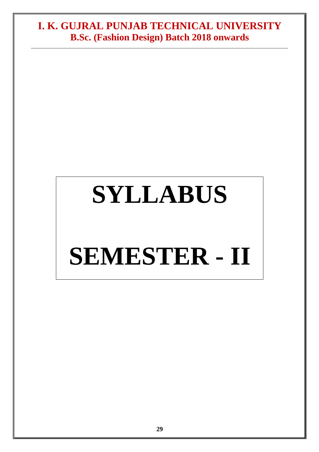## **SYLLABUS**

# **SEMESTER - II**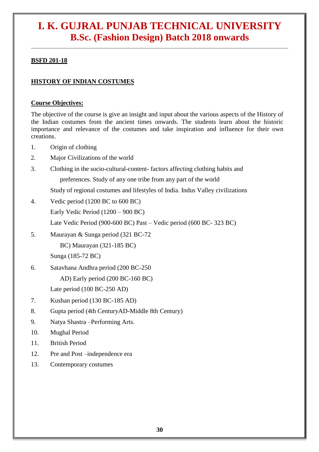#### **BSFD 201-18**

#### **HISTORY OF INDIAN COSTUMES**

#### **Course Objectives:**

The objective of the course is give an insight and input about the various aspects of the History of the Indian costumes from the ancient times onwards. The students learn about the historic importance and relevance of the costumes and take inspiration and influence for their own creations.

- 1. Origin of clothing
- 2. Major Civilizations of the world
- 3. Clothing in the socio-cultural-content- factors affecting clothing habits and preferences. Study of any one tribe from any part of the world

Study of regional costumes and lifestyles of India. Indus Valley civilizations

- 4. Vedic period (1200 BC to 600 BC) Early Vedic Period (1200 – 900 BC) Late Vedic Period (900-600 BC) Past – Vedic period (600 BC- 323 BC)
- 5. Maurayan & Sunga period (321 BC-72

BC) Maurayan (321-185 BC)

Sunga (185-72 BC)

6. Satavhana Andhra period (200 BC-250

AD) Early period (200 BC-160 BC)

Late period (100 BC-250 AD)

- 7. Kushan period (130 BC-185 AD)
- 8. Gupta period (4th CenturyAD-Middle 8th Century)
- 9. Natya Shastra –Performing Arts.
- 10. Mughal Period
- 11. British Period
- 12. Pre and Post –independence era
- 13. Contemporary costumes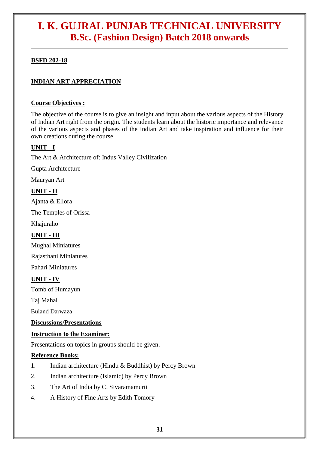#### **BSFD 202-18**

#### **INDIAN ART APPRECIATION**

#### **Course Objectives :**

The objective of the course is to give an insight and input about the various aspects of the History of Indian Art right from the origin. The students learn about the historic importance and relevance of the various aspects and phases of the Indian Art and take inspiration and influence for their own creations during the course.

#### **UNIT - I**

The Art & Architecture of: Indus Valley Civilization

Gupta Architecture

Mauryan Art

#### **UNIT - II**

Ajanta & Ellora

The Temples of Orissa

Khajuraho

#### **UNIT - III**

Mughal Miniatures

Rajasthani Miniatures

Pahari Miniatures

#### **UNIT - IV**

Tomb of Humayun

Taj Mahal

Buland Darwaza

#### **Discussions/Presentations**

#### **Instruction to the Examiner:**

Presentations on topics in groups should be given.

#### **Reference Books:**

- 1. Indian architecture (Hindu & Buddhist) by Percy Brown
- 2. Indian architecture (Islamic) by Percy Brown
- 3. The Art of India by C. Sivaramamurti
- 4. A History of Fine Arts by Edith Tomory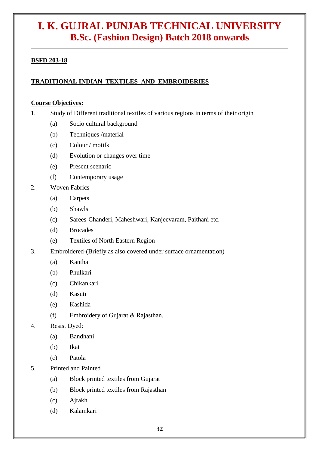#### **BSFD 203-18**

#### **TRADITIONAL INDIAN TEXTILES AND EMBROIDERIES**

#### **Course Objectives:**

- 1. Study of Different traditional textiles of various regions in terms of their origin
	- (a) Socio cultural background
	- (b) Techniques /material
	- (c) Colour / motifs
	- (d) Evolution or changes over time
	- (e) Present scenario
	- (f) Contemporary usage
- 2. Woven Fabrics
	- (a) Carpets
	- (b) Shawls
	- (c) Sarees-Chanderi, Maheshwari, Kanjeevaram, Paithani etc.
	- (d) Brocades
	- (e) Textiles of North Eastern Region
- 3. Embroidered-(Briefly as also covered under surface ornamentation)
	- (a) Kantha
	- (b) Phulkari
	- (c) Chikankari
	- (d) Kasuti
	- (e) Kashida
	- (f) Embroidery of Gujarat & Rajasthan.
- 4. Resist Dyed:
	- (a) Bandhani
	- (b) Ikat
	- (c) Patola
- 5. Printed and Painted
	- (a) Block printed textiles from Gujarat
	- (b) Block printed textiles from Rajasthan
	- (c) Ajrakh
	- (d) Kalamkari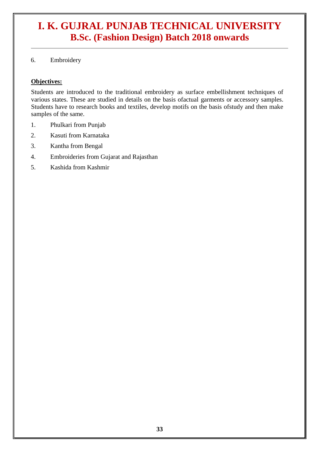6. Embroidery

#### **Objectives:**

Students are introduced to the traditional embroidery as surface embellishment techniques of various states. These are studied in details on the basis ofactual garments or accessory samples. Students have to research books and textiles, develop motifs on the basis ofstudy and then make samples of the same.

- 1. Phulkari from Punjab
- 2. Kasuti from Karnataka
- 3. Kantha from Bengal
- 4. Embroideries from Gujarat and Rajasthan
- 5. Kashida from Kashmir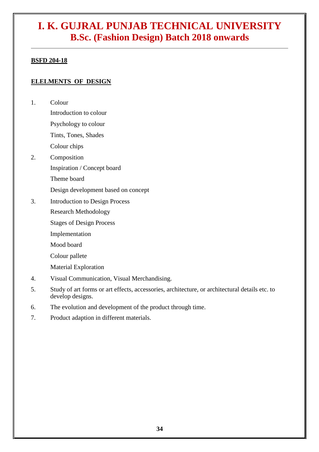#### **BSFD 204-18**

#### **ELELMENTS OF DESIGN**

1. Colour

Introduction to colour Psychology to colour Tints, Tones, Shades

Colour chips

2. Composition

Inspiration / Concept board

Theme board

Design development based on concept

3. Introduction to Design Process Research Methodology

Stages of Design Process

Implementation

Mood board

Colour pallete

Material Exploration

- 4. Visual Communication, Visual Merchandising.
- 5. Study of art forms or art effects, accessories, architecture, or architectural details etc. to develop designs.
- 6. The evolution and development of the product through time.
- 7. Product adaption in different materials.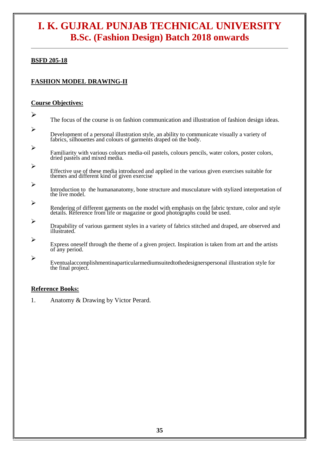#### **BSFD 205-18**

#### **FASHION MODEL DRAWING-II**

#### **Course Objectives:**

| $\blacktriangleright$ | The focus of the course is on fashion communication and illustration of fashion design ideas.                                                                                    |
|-----------------------|----------------------------------------------------------------------------------------------------------------------------------------------------------------------------------|
| $\blacktriangleright$ | Development of a personal illustration style, an ability to communicate visually a variety of<br>fabrics, silhouettes and colours of garments draped on the body.                |
| $\blacktriangleright$ | Familiarity with various colours media-oil pastels, colours pencils, water colors, poster colors,<br>dried pastels and mixed media.                                              |
| $\blacktriangleright$ | Effective use of these media introduced and applied in the various given exercises suitable for<br>themes and different kind of given exercise                                   |
| $\blacktriangleright$ | Introduction to the humananatomy, bone structure and musculature with stylized interpretation of<br>the live model.                                                              |
| $\blacktriangleright$ | Rendering of different garments on the model with emphasis on the fabric texture, color and style<br>details. Reference from life or magazine or good photographs could be used. |
| $\blacktriangleright$ | Drapability of various garment styles in a variety of fabrics stitched and draped, are observed and<br>illustrated.                                                              |
| $\blacktriangleright$ | Express oneself through the theme of a given project. Inspiration is taken from art and the artists<br>of any period.                                                            |
| $\blacktriangleright$ | Eventualaccomplishmentinaparticularmediumsuitedtothedesignerspersonal illustration style for<br>the final project.                                                               |

#### **Reference Books:**

1. Anatomy & Drawing by Victor Perard.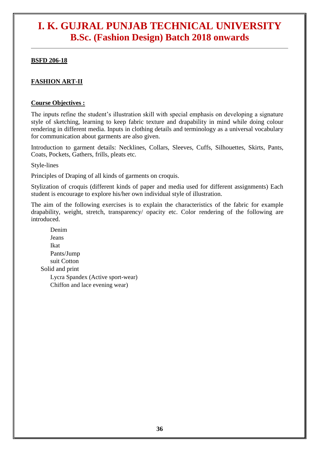#### **BSFD 206-18**

#### **FASHION ART-II**

#### **Course Objectives :**

The inputs refine the student's illustration skill with special emphasis on developing a signature style of sketching, learning to keep fabric texture and drapability in mind while doing colour rendering in different media. Inputs in clothing details and terminology as a universal vocabulary for communication about garments are also given.

Introduction to garment details: Necklines, Collars, Sleeves, Cuffs, Silhouettes, Skirts, Pants, Coats, Pockets, Gathers, frills, pleats etc.

Style-lines

Principles of Draping of all kinds of garments on croquis.

Stylization of croquis (different kinds of paper and media used for different assignments) Each student is encourage to explore his/her own individual style of illustration.

The aim of the following exercises is to explain the characteristics of the fabric for example drapability, weight, stretch, transparency/ opacity etc. Color rendering of the following are introduced.

Denim Jeans Ikat Pants/Jump suit Cotton Solid and print Lycra Spandex (Active sport-wear) Chiffon and lace evening wear)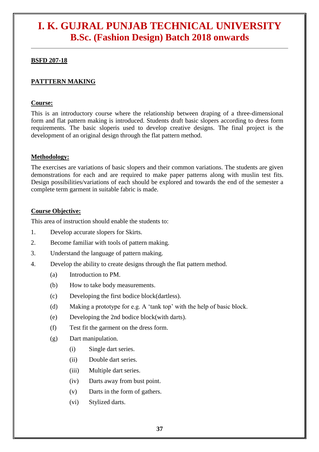#### **BSFD 207-18**

#### **PATTTERN MAKING**

#### **Course:**

This is an introductory course where the relationship between draping of a three-dimensional form and flat pattern making is introduced. Students draft basic slopers according to dress form requirements. The basic sloperis used to develop creative designs. The final project is the development of an original design through the flat pattern method.

#### **Methodology:**

The exercises are variations of basic slopers and their common variations. The students are given demonstrations for each and are required to make paper patterns along with muslin test fits. Design possibilities/variations of each should be explored and towards the end of the semester a complete term garment in suitable fabric is made.

#### **Course Objective:**

This area of instruction should enable the students to:

- 1. Develop accurate slopers for Skirts.
- 2. Become familiar with tools of pattern making.
- 3. Understand the language of pattern making.
- 4. Develop the ability to create designs through the flat pattern method.
	- (a) Introduction to PM.
	- (b) How to take body measurements.
	- (c) Developing the first bodice block(dartless).
	- (d) Making a prototype for e.g. A 'tank top' with the help of basic block.
	- (e) Developing the 2nd bodice block(with darts).
	- (f) Test fit the garment on the dress form.
	- (g) Dart manipulation.
		- (i) Single dart series.
		- (ii) Double dart series.
		- (iii) Multiple dart series.
		- (iv) Darts away from bust point.
		- (v) Darts in the form of gathers.
		- (vi) Stylized darts.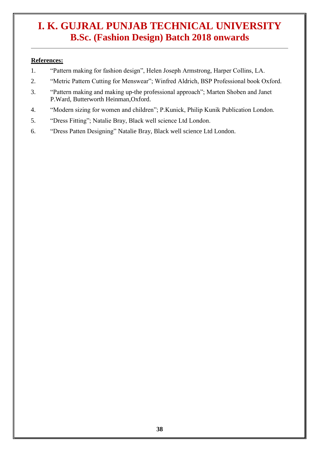#### **References:**

- 1. "Pattern making for fashion design", Helen Joseph Armstrong, Harper Collins, LA.
- 2. "Metric Pattern Cutting for Menswear"; Winfred Aldrich, BSP Professional book Oxford.
- 3. "Pattern making and making up-the professional approach"; Marten Shoben and Janet P.Ward, Butterworth Heinman,Oxford.
- 4. "Modern sizing for women and children"; P.Kunick, Philip Kunik Publication London.
- 5. "Dress Fitting"; Natalie Bray, Black well science Ltd London.
- 6. "Dress Patten Designing" Natalie Bray, Black well science Ltd London.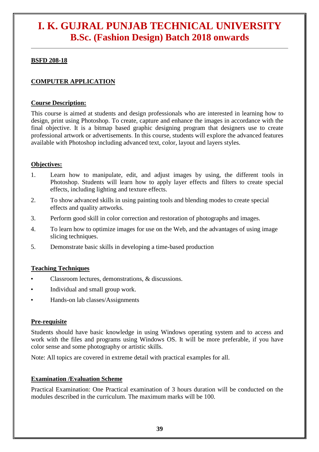#### **BSFD 208-18**

#### **COMPUTER APPLICATION**

#### **Course Description:**

This course is aimed at students and design professionals who are interested in learning how to design, print using Photoshop. To create, capture and enhance the images in accordance with the final objective. It is a bitmap based graphic designing program that designers use to create professional artwork or advertisements. In this course, students will explore the advanced features available with Photoshop including advanced text, color, layout and layers styles.

#### **Objectives:**

- 1. Learn how to manipulate, edit, and adjust images by using, the different tools in Photoshop. Students will learn how to apply layer effects and filters to create special effects, including lighting and texture effects.
- 2. To show advanced skills in using painting tools and blending modes to create special effects and quality artworks.
- 3. Perform good skill in color correction and restoration of photographs and images.
- 4. To learn how to optimize images for use on the Web, and the advantages of using image slicing techniques.
- 5. Demonstrate basic skills in developing a time-based production

#### **Teaching Techniques**

- Classroom lectures, demonstrations, & discussions.
- Individual and small group work.
- Hands-on lab classes/Assignments

#### **Pre-requisite**

Students should have basic knowledge in using Windows operating system and to access and work with the files and programs using Windows OS. It will be more preferable, if you have color sense and some photography or artistic skills.

Note: All topics are covered in extreme detail with practical examples for all.

#### **Examination /Evaluation Scheme**

Practical Examination: One Practical examination of 3 hours duration will be conducted on the modules described in the curriculum. The maximum marks will be 100.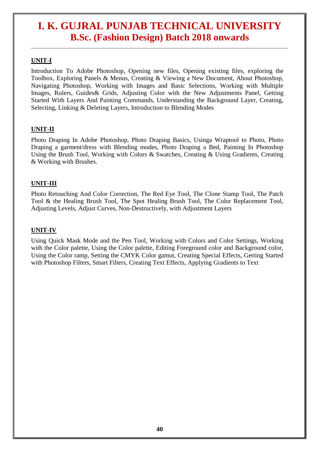#### **UNIT-I**

Introduction To Adobe Photoshop, Opening new files, Opening existing files, exploring the Toolbox, Exploring Panels & Menus, Creating & Viewing a New Document, About Photoshop, Navigating Photoshop, Working with Images and Basic Selections, Working with Multiple Images, Rulers, Guides& Grids, Adjusting Color with the New Adjustments Panel, Getting Started With Layers And Painting Commands, Understanding the Background Layer, Creating, Selecting, Linking & Deleting Layers, Introduction to Blending Modes

#### **UNIT-II**

Photo Draping In Adobe Photoshop, Photo Draping Basics, Usinga Wraptool to Photo, Photo Draping a garment/dress with Blending modes, Photo Draping a Bed, Painting In Photoshop Using the Brush Tool, Working with Colors & Swatches, Creating & Using Gradients, Creating & Working with Brushes.

#### **UNIT-III**

Photo Retouching And Color Correction, The Red Eye Tool, The Clone Stamp Tool, The Patch Tool & the Healing Brush Tool, The Spot Healing Brush Tool, The Color Replacement Tool, Adjusting Levels, Adjust Curves, Non-Destructively, with Adjustment Layers

#### **UNIT-IV**

Using Quick Mask Mode and the Pen Tool, Working with Colors and Color Settings, Working with the Color palette, Using the Color palette, Editing Foreground color and Background color, Using the Color ramp, Setting the CMYK Color gamut, Creating Special Effects, Getting Started with Photoshop Filters, Smart Filters, Creating Text Effects, Applying Gradients to Text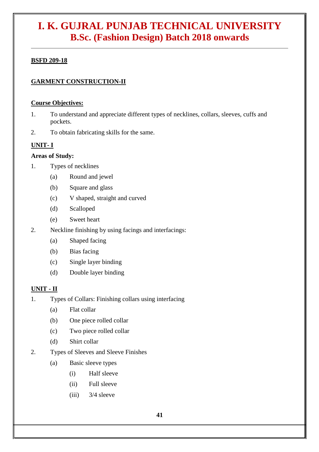#### **BSFD 209-18**

#### **GARMENT CONSTRUCTION-II**

#### **Course Objectives:**

- 1. To understand and appreciate different types of necklines, collars, sleeves, cuffs and pockets.
- 2. To obtain fabricating skills for the same.

#### **UNIT- I**

#### **Areas of Study:**

- 1. Types of necklines
	- (a) Round and jewel
	- (b) Square and glass
	- (c) V shaped, straight and curved
	- (d) Scalloped
	- (e) Sweet heart
- 2. Neckline finishing by using facings and interfacings:
	- (a) Shaped facing
	- (b) Bias facing
	- (c) Single layer binding
	- (d) Double layer binding

#### **UNIT - II**

- 1. Types of Collars: Finishing collars using interfacing
	- (a) Flat collar
	- (b) One piece rolled collar
	- (c) Two piece rolled collar
	- (d) Shirt collar
- 2. Types of Sleeves and Sleeve Finishes
	- (a) Basic sleeve types
		- (i) Half sleeve
		- (ii) Full sleeve
		- (iii) 3/4 sleeve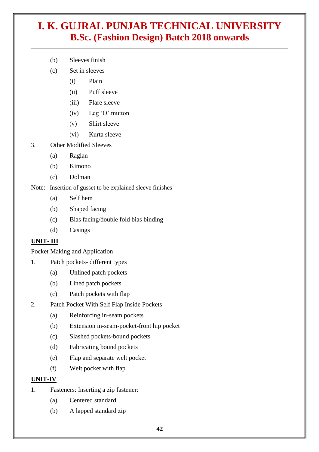- (b) Sleeves finish
- (c) Set in sleeves
	- (i) Plain
	- (ii) Puff sleeve
	- (iii) Flare sleeve
	- (iv) Leg 'O' mutton
	- (v) Shirt sleeve
	- (vi) Kurta sleeve
- 3. Other Modified Sleeves
	- (a) Raglan
	- (b) Kimono
	- (c) Dolman

Note: Insertion of gusset to be explained sleeve finishes

- (a) Self hem
- (b) Shaped facing
- (c) Bias facing/double fold bias binding
- (d) Casings

#### **UNIT- III**

Pocket Making and Application

- 1. Patch pockets- different types
	- (a) Unlined patch pockets
	- (b) Lined patch pockets
	- (c) Patch pockets with flap
- 2. Patch Pocket With Self Flap Inside Pockets
	- (a) Reinforcing in-seam pockets
	- (b) Extension in-seam-pocket-front hip pocket
	- (c) Slashed pockets-bound pockets
	- (d) Fabricating bound pockets
	- (e) Flap and separate welt pocket
	- (f) Welt pocket with flap

#### **UNIT-IV**

- 1. Fasteners: Inserting a zip fastener:
	- (a) Centered standard
	- (b) A lapped standard zip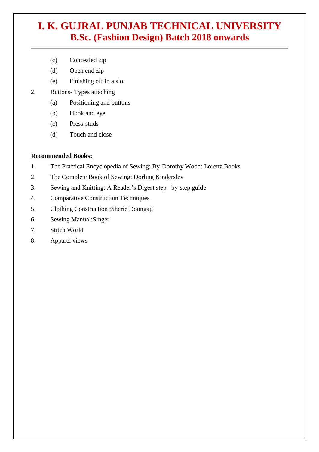- (c) Concealed zip
- (d) Open end zip
- (e) Finishing off in a slot
- 2. Buttons- Types attaching
	- (a) Positioning and buttons
	- (b) Hook and eye
	- (c) Press-studs
	- (d) Touch and close

#### **Recommended Books:**

- 1. The Practical Encyclopedia of Sewing: By-Dorothy Wood: Lorenz Books
- 2. The Complete Book of Sewing: Dorling Kindersley
- 3. Sewing and Knitting: A Reader's Digest step –by-step guide
- 4. Comparative Construction Techniques
- 5. Clothing Construction :Sherie Doongaji
- 6. Sewing Manual:Singer
- 7. Stitch World
- 8. Apparel views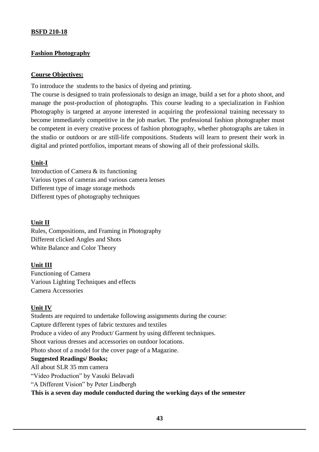#### **BSFD 210-18**

#### **Fashion Photography**

#### **Course Objectives:**

To introduce the students to the basics of dyeing and printing.

The course is designed to train professionals to design an image, build a set for a photo shoot, and manage the post-production of photographs. This course leading to a specialization in Fashion Photography is targeted at anyone interested in acquiring the professional training necessary to become immediately competitive in the job market. The professional fashion photographer must be competent in every creative process of fashion photography, whether photographs are taken in the studio or outdoors or are still-life compositions. Students will learn to present their work in digital and printed portfolios, important means of showing all of their professional skills.

#### **Unit-I**

Introduction of Camera & its functioning Various types of cameras and various camera lenses Different type of image storage methods Different types of photography techniques

#### **Unit II**

Rules, Compositions, and Framing in Photography Different clicked Angles and Shots White Balance and Color Theory

#### **Unit III**

Functioning of Camera Various Lighting Techniques and effects Camera Accessories

#### **Unit IV**

Students are required to undertake following assignments during the course: Capture different types of fabric textures and textiles Produce a video of any Product/ Garment by using different techniques. Shoot various dresses and accessories on outdoor locations. Photo shoot of a model for the cover page of a Magazine. **Suggested Readings/ Books;**  All about SLR 35 mm camera "Video Production" by Vasuki Belavadi "A Different Vision" by Peter Lindbergh **This is a seven day module conducted during the working days of the semester**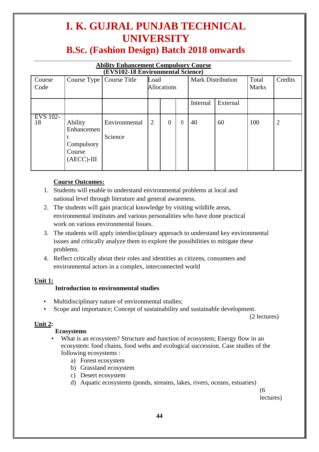# **I. K. GUJRAL PUNJAB TECHNICAL UNIVERSITY**

### **B.Sc. (Fashion Design) Batch 2018 onwards**

| <b>Ability Enhancement Compulsory Course</b><br><b>(EVS102-18 Environmental Science)</b> |                            |  |                    |                          |       |         |  |  |  |  |  |
|------------------------------------------------------------------------------------------|----------------------------|--|--------------------|--------------------------|-------|---------|--|--|--|--|--|
| Course                                                                                   | Course Type   Course Title |  | Load               | <b>Mark Distribution</b> | Total | Credits |  |  |  |  |  |
| $C$ ode                                                                                  |                            |  | <b>Allocations</b> |                          | Marke |         |  |  |  |  |  |

| $\sim$ urv<br>Code | $\sim$ $\sim$ $\sim$ $\sim$ $\sim$ $\sim$ $\sim$ $\sim$        | Course Theo              | <br><b>Allocations</b> |                  | man Distribution |          | 1 vuu<br><b>Marks</b> | $\mathbf{v}$ |   |
|--------------------|----------------------------------------------------------------|--------------------------|------------------------|------------------|------------------|----------|-----------------------|--------------|---|
|                    |                                                                |                          |                        |                  |                  | Internal | External              |              |   |
| EVS 102-<br>18     | Ability<br>Enhancemen<br>Compulsory<br>Course<br>$(AECC)$ -III | Environmental<br>Science | $\overline{2}$         | $\boldsymbol{0}$ | $\theta$         | 40       | 60                    | 100          | 2 |

#### **Course Outcomes:**

- 1. Students will enable to understand environmental problems at local and national level through literature and general awareness.
- 2. The students will gain practical knowledge by visiting wildlife areas, environmental institutes and various personalities who have done practical work on various environmental Issues.
- 3. The students will apply interdisciplinary approach to understand key environmental issues and critically analyze them to explore the possibilities to mitigate these problems.
- 4. Reflect critically about their roles and identities as citizens, consumers and environmental actors in a complex, interconnected world

#### **Unit 1:**

#### **Introduction to environmental studies**

- Multidisciplinary nature of environmental studies;
- Scope and importance; Concept of sustainability and sustainable development.

(2 lectures)

#### **Unit 2:**

#### **Ecosystems**

- What is an ecosystem? Structure and function of ecosystem; Energy flow in an ecosystem: food chains, food webs and ecological succession. Case studies of the following ecosystems :
	- a) Forest ecosystem
	- b) Grassland ecosystem
	- c) Desert ecosystem
	- d) Aquatic ecosystems (ponds, streams, lakes, rivers, oceans, estuaries)

(6 lectures)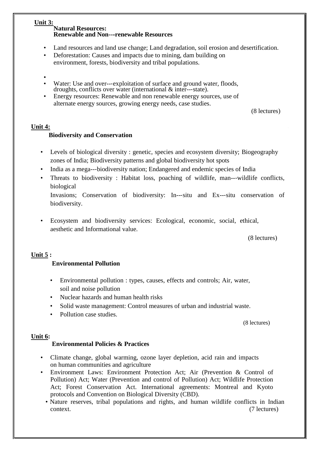#### **Unit 3:**

#### **Natural Resources: Renewable and Non---renewable Resources**

- Land resources and land use change; Land degradation, soil erosion and desertification.
- Deforestation: Causes and impacts due to mining, dam building on environment, forests, biodiversity and tribal populations.
- •
- Water: Use and over---exploitation of surface and ground water, floods, droughts, conflicts over water (international & inter--‐state).
- Energy resources: Renewable and non renewable energy sources, use of alternate energy sources, growing energy needs, case studies.

(8 lectures)

#### **Unit 4:**

#### **Biodiversity and Conservation**

- Levels of biological diversity : genetic, species and ecosystem diversity; Biogeography zones of India; Biodiversity patterns and global biodiversity hot spots
- India as a mega--‐biodiversity nation; Endangered and endemic species of India
- Threats to biodiversity : Habitat loss, poaching of wildlife, man--‐wildlife conflicts, biological

Invasions; Conservation of biodiversity: In--‐situ and Ex--‐situ conservation of biodiversity.

• Ecosystem and biodiversity services: Ecological, economic, social, ethical, aesthetic and Informational value.

(8 lectures)

#### **Unit 5 :**

#### **Environmental Pollution**

- Environmental pollution : types, causes, effects and controls; Air, water, soil and noise pollution
- Nuclear hazards and human health risks
- Solid waste management: Control measures of urban and industrial waste.
- Pollution case studies.

(8 lectures)

#### **Unit 6:**

#### **Environmental Policies & Practices**

- Climate change, global warming, ozone layer depletion, acid rain and impacts on human communities and agriculture
- Environment Laws: Environment Protection Act; Air (Prevention & Control of Pollution) Act; Water (Prevention and control of Pollution) Act; Wildlife Protection Act; Forest Conservation Act. International agreements: Montreal and Kyoto protocols and Convention on Biological Diversity (CBD).
	- Nature reserves, tribal populations and rights, and human wildlife conflicts in Indian context. (7 lectures)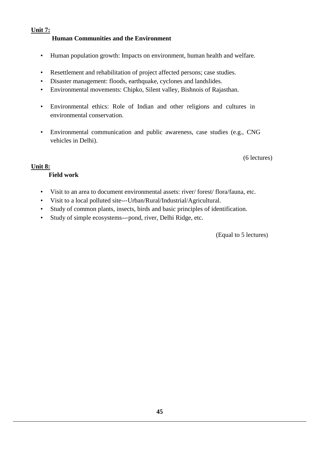#### **Unit 7: Human Communities and the Environment**

- Human population growth: Impacts on environment, human health and welfare.
- Resettlement and rehabilitation of project affected persons; case studies.
- Disaster management: floods, earthquake, cyclones and landslides.
- Environmental movements: Chipko, Silent valley, Bishnois of Rajasthan.
- Environmental ethics: Role of Indian and other religions and cultures in environmental conservation.
- Environmental communication and public awareness, case studies (e.g., CNG vehicles in Delhi).

(6 lectures)

#### **Unit 8:**

#### **Field work**

- Visit to an area to document environmental assets: river/ forest/ flora/fauna, etc.
- Visit to a local polluted site---Urban/Rural/Industrial/Agricultural.
- Study of common plants, insects, birds and basic principles of identification.
- Study of simple ecosystems---pond, river, Delhi Ridge, etc.

(Equal to 5 lectures)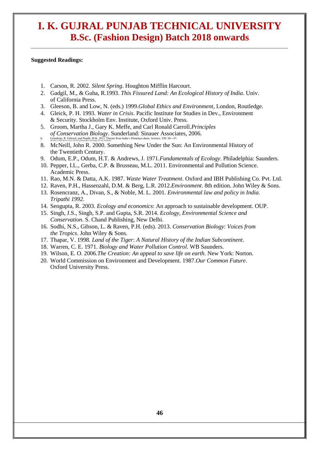#### **Suggested Readings:**

- 1. Carson, R. 2002. *Silent Spring*. Houghton Mifflin Harcourt.
- 2. Gadgil, M., & Guha, R.1993. *This Fissured Land: An Ecological History of India*. Univ. of California Press.
- 3. Gleeson, B. and Low, N. (eds.) 1999.*Global Ethics and Environment*, London, Routledge.
- 4. Gleick, P. H. 1993. *Water in Crisis*. Pacific Institute for Studies in Dev., Environment & Security. Stockholm Env. Institute, Oxford Univ. Press*.*
- 5. Groom, Martha J., Gary K. Meffe, and Carl Ronald Carroll.*Principles of Conservation Biology*. Sunderland: Sinauer Associates, 2006. 6. Grumbine, R. Edward, and Pandit, M.K. 2013. Threats from India's Himalaya dams. *Science,* 339: 36--‐37. 7. McCully, P. 1996. *Rivers no more: the environmental effects of dams*(pp. 29--‐64). Zed Books.
- 8. McNeill, John R. 2000. Something New Under the Sun: An Environmental History of the Twentieth Century.
- 9. Odum, E.P., Odum, H.T. & Andrews, J. 1971.*Fundamentals of Ecology*. Philadelphia: Saunders.
- 10. Pepper, I.L., Gerba, C.P. & Brusseau, M.L. 2011. Environmental and Pollution Science. Academic Press.
- 11. Rao, M.N. & Datta, A.K. 1987. *Waste Water Treatment*. Oxford and IBH Publishing Co. Pvt. Ltd.
- 12. Raven, P.H., Hassenzahl, D.M. & Berg, L.R. 2012.*Environment*. 8th edition. John Wiley & Sons.
- 13. Rosencranz, A., Divan, S., & Noble, M. L. 2001. *Environmental law and policy in India*. *Tripathi 1992*.
- 14. Sengupta, R. 2003. *Ecology and economics*: An approach to sustainable development. OUP.
- 15. Singh, J.S., Singh, S.P. and Gupta, S.R. 2014. *Ecology, Environmental Science and Conservation*. S. Chand Publishing, New Delhi.
- 16. Sodhi, N.S., Gibson, L. & Raven, P.H. (eds). 2013. *Conservation Biology*: *Voices from the Tropics*. John Wiley & Sons.
- 17. Thapar, V. 1998*. Land of the Tiger*: *A Natural History of the Indian Subcontinent*.
- 18. Warren, C. E. 1971. *Biology and Water Pollution Control*. WB Saunders.
- 19. Wilson, E. O. 2006.*The Creation: An appeal to save life on earth*. New York: Norton.
- 20. World Commission on Environment and Development. 1987.*Our Common Future*. Oxford University Press.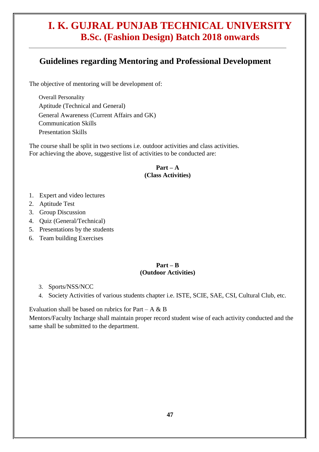#### **Guidelines regarding Mentoring and Professional Development**

The objective of mentoring will be development of:

Overall Personality Aptitude (Technical and General) General Awareness (Current Affairs and GK) Communication Skills Presentation Skills

The course shall be split in two sections i.e. outdoor activities and class activities. For achieving the above, suggestive list of activities to be conducted are:

#### $Part - A$ **(Class Activities)**

- 1. Expert and video lectures
- 2. Aptitude Test
- 3. Group Discussion
- 4. Quiz (General/Technical)
- 5. Presentations by the students
- 6. Team building Exercises

#### **Part – B (Outdoor Activities)**

- 3. Sports/NSS/NCC
- 4. Society Activities of various students chapter i.e. ISTE, SCIE, SAE, CSI, Cultural Club, etc.

Evaluation shall be based on rubrics for Part – A  $\&$  B

Mentors/Faculty Incharge shall maintain proper record student wise of each activity conducted and the same shall be submitted to the department.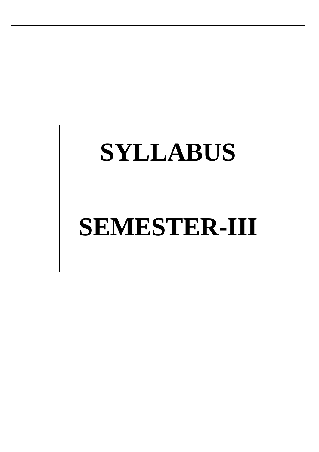# **SYLLABUS**

# **SEMESTER-III**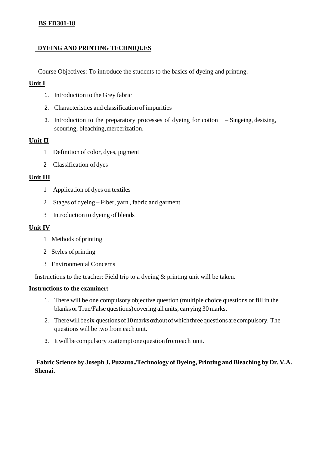#### **BS FD301-18**

#### **DYEING AND PRINTING TECHNIQUES**

Course Objectives: To introduce the students to the basics of dyeing and printing.

#### **Unit I**

- 1. Introduction to the Grey fabric
- 2. Characteristics and classification of impurities
- 3. Introduction to the preparatory processes of dyeing for cotton Singeing, desizing, scouring, bleaching, mercerization.

#### **Unit II**

- 1 Definition of color, dyes, pigment
- 2 Classification of dyes

#### **Unit III**

- 1 Application of dyes on textiles
- 2 Stages of dyeing Fiber, yarn , fabric and garment
- 3 Introduction to dyeing of blends

#### **Unit IV**

- 1 Methods of printing
- 2 Styles of printing
- 3 Environmental Concerns

Instructions to the teacher: Field trip to a dyeing & printing unit will be taken.

#### **Instructions to the examiner:**

- 1. There will be one compulsory objective question (multiple choice questions or fill in the blanks orTrue/False questions)covering all units, carrying 30marks.
- 2. There will be six questions of 10 marks each out of which three questions are compulsory. The questions will be two from each unit.
- 3. Itwillbecompulsorytoattemptonequestionfromeach unit.

**Fabric Science by Joseph J. Puzzuto./Technology of Dyeing, Printing andBleaching by Dr. V.A. Shenai.**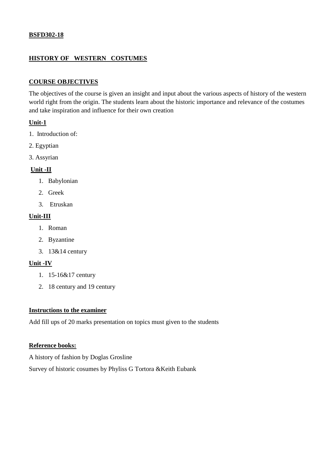#### **BSFD302-18**

#### **HISTORY OF WESTERN COSTUMES**

#### **COURSE OBJECTIVES**

The objectives of the course is given an insight and input about the various aspects of history of the western world right from the origin. The students learn about the historic importance and relevance of the costumes and take inspiration and influence for their own creation

#### **Unit-1**

- 1. Introduction of:
- 2. Egyptian
- 3. Assyrian

#### **Unit -II**

- 1. Babylonian
- 2. Greek
- 3. Etruskan

#### **Unit-III**

- 1. Roman
- 2. Byzantine
- 3. 13&14 century

#### **Unit -IV**

- 1. 15-16&17 century
- 2. 18 century and 19 century

#### **Instructions to the examiner**

Add fill ups of 20 marks presentation on topics must given to the students

#### **Reference books:**

A history of fashion by Doglas Grosline

Survey of historic cosumes by Phyliss G Tortora &Keith Eubank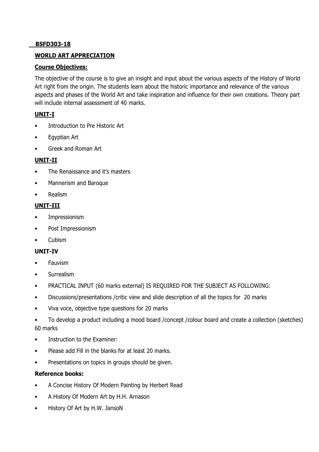#### **BSFD303-18**

#### **WORLD ART APPRECIATION**

#### **Course Objectives:**

The objective of the course is to give an insight and input about the various aspects of the History of World Art right from the origin. The students learn about the historic importance and relevance of the various aspects and phases of the World Art and take inspiration and influence for their own creations. Theory part will include internal assessment of 40 marks.

#### **UNIT-I**

- Introduction to Pre Historic Art
- Egyptian Art
- Greek and Roman Art

#### **UNIT-II**

- The Renaissance and it's masters
- Mannerism and Baroque
- Realism

#### **UNIT-III**

- **Impressionism**
- Post Impressionism
- Cubism

#### **UNIT-IV**

- **Fauvism**
- Surrealism
- PRACTICAL INPUT (60 marks external) IS REQUIRED FOR THE SUBJECT AS FOLLOWING:
- Discussions/presentations /critic view and slide description of all the topics for 20 marks
- Viva voce, objective type questions for 20 marks
- To develop a product including a mood board /concept /colour board and create a collection (sketches) 60 marks
- Instruction to the Examiner:
- Please add Fill in the blanks for at least 20 marks.
- Presentations on topics in groups should be given.

#### **Reference books:**

- A Concise History Of Modern Painting by Herbert Read
- A History Of Modern Art by H.H. Arnason
- History Of Art by H.W. JansoN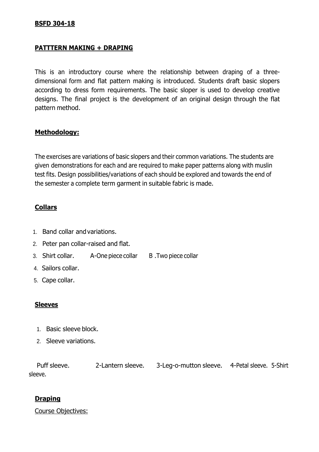#### **BSFD 304-18**

#### **PATTTERN MAKING + DRAPING**

This is an introductory course where the relationship between draping of a threedimensional form and flat pattern making is introduced. Students draft basic slopers according to dress form requirements. The basic sloper is used to develop creative designs. The final project is the development of an original design through the flat pattern method.

#### **Methodology:**

The exercises are variations of basic slopers and their common variations. The students are given demonstrations for each and are required to make paper patterns along with muslin test fits. Design possibilities/variations of each should be explored and towards the end of the semester a complete term garment in suitable fabric is made.

#### **Collars**

- 1. Band collar and variations.
- 2. Peter pan collar-raised and flat.
- 3. Shirt collar. A-One piece collar B. Two piece collar
- 4. Sailors collar.
- 5. Cape collar.

#### **Sleeves**

- 1. Basic sleeve block.
- 2. Sleeve variations.

Puff sleeve. 2-Lantern sleeve. 3-Leg-o-mutton sleeve. 4-Petal sleeve. 5-Shirt sleeve.

#### **Draping**

Course Objectives: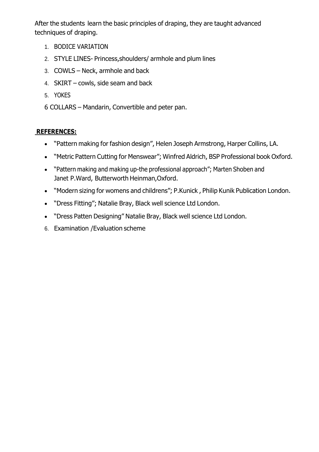After the students learn the basic principles of draping, they are taught advanced techniques of draping.

- 1. BODICE VARIATION
- 2. STYLE LINES- Princess,shoulders/ armhole and plum lines
- 3. COWLS Neck, armhole and back
- 4. SKIRT cowls, side seam and back
- 5. YOKES
- 6 COLLARS Mandarin, Convertible and peter pan.

#### **REFERENCES:**

- "Pattern making for fashion design", Helen Joseph Armstrong, Harper Collins, LA.
- "Metric Pattern Cutting for Menswear"; Winfred Aldrich, BSP Professional book Oxford.
- "Pattern making and making up-the professional approach"; Marten Shoben and Janet P.Ward, Butterworth Heinman,Oxford.
- "Modern sizing for womens and childrens"; P.Kunick , Philip Kunik Publication London.
- "Dress Fitting"; Natalie Bray, Black well science Ltd London.
- "Dress Patten Designing" Natalie Bray, Black well science Ltd London.
- 6. Examination /Evaluation scheme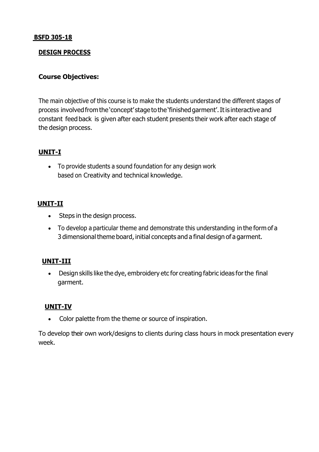#### **BSFD 305-18**

#### **DESIGN PROCESS**

#### **Course Objectives:**

The main objective of this course is to make the students understand the different stages of process involvedfrom the 'concept' stage to the 'finishedgarment'.Itis interactive and constant feed back is given after each student presents their work after each stage of the design process.

#### **UNIT-I**

 To provide students a sound foundation for any design work based on Creativity and technical knowledge.

#### **UNIT-II**

- Steps in the design process.
- To develop a particular theme and demonstrate this understanding in the form of a 3 dimensional theme board, initial concepts and a final design of a garment.

#### **UNIT-III**

 Design skills like the dye, embroidery etc for creating fabric ideas forthe final garment.

#### **UNIT-IV**

• Color palette from the theme or source of inspiration.

To develop their own work/designs to clients during class hours in mock presentation every week.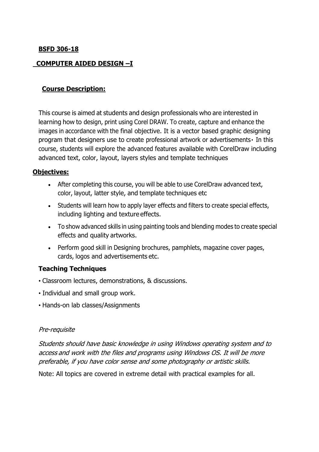#### **BSFD 306-18**

#### **COMPUTER AIDED DESIGN –I**

#### **Course Description:**

This course is aimed at students and design professionals who are interested in learning how to design, print using Corel DRAW. To create, capture and enhance the images in accordance with the final objective. It is a vector based graphic designing program that designers use to create professional artwork or advertisements In this course, students will explore the advanced features available with CorelDraw including advanced text, color, layout, layers styles and template techniques

#### **Objectives:**

- After completing this course, you will be able to use CorelDraw advanced text, color, layout, latter style, and template techniques etc
- Students will learn how to apply layer effects and filters to create special effects, including lighting and texture effects.
- To show advanced skills in using painting tools and blending modes to create special effects and quality artworks.
- Perform good skill in Designing brochures, pamphlets, magazine cover pages, cards, logos and advertisements etc.

#### **Teaching Techniques**

- Classroom lectures, demonstrations, & discussions.
- Individual and small group work.
- Hands-on lab classes/Assignments

#### Pre-requisite

Students should have basic knowledge in using Windows operating system and to access and work with the files and programs using Windows OS. It will be more preferable, if you have color sense and some photography or artistic skills.

Note: All topics are covered in extreme detail with practical examples for all.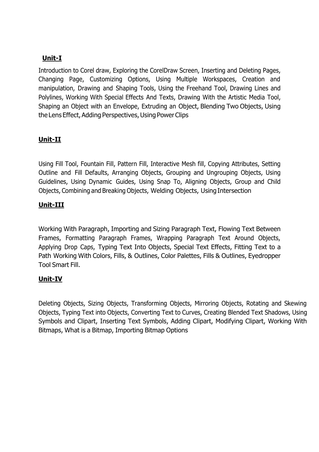#### **Unit-I**

Introduction to Corel draw, Exploring the CorelDraw Screen, Inserting and Deleting Pages, Changing Page, Customizing Options, Using Multiple Workspaces, Creation and manipulation, Drawing and Shaping Tools, Using the Freehand Tool, Drawing Lines and Polylines, Working With Special Effects And Texts, Drawing With the Artistic Media Tool, Shaping an Object with an Envelope, Extruding an Object, Blending Two Objects, Using the Lens Effect, Adding Perspectives, Using Power Clips

#### **Unit-II**

Using Fill Tool, Fountain Fill, Pattern Fill, Interactive Mesh fill, Copying Attributes, Setting Outline and Fill Defaults, Arranging Objects, Grouping and Ungrouping Objects, Using Guidelines, Using Dynamic Guides, Using Snap To, Aligning Objects, Group and Child Objects, Combining and Breaking Objects, Welding Objects, Using Intersection

#### **Unit-III**

Working With Paragraph, Importing and Sizing Paragraph Text, Flowing Text Between Frames, Formatting Paragraph Frames, Wrapping Paragraph Text Around Objects, Applying Drop Caps, Typing Text Into Objects, Special Text Effects, Fitting Text to a Path Working With Colors, Fills, & Outlines, Color Palettes, Fills & Outlines, Eyedropper Tool Smart Fill.

#### **Unit-IV**

Deleting Objects, Sizing Objects, Transforming Objects, Mirroring Objects, Rotating and Skewing Objects, Typing Text into Objects, Converting Text to Curves, Creating Blended Text Shadows, Using Symbols and Clipart, Inserting Text Symbols, Adding Clipart, Modifying Clipart, Working With Bitmaps, What is a Bitmap, Importing Bitmap Options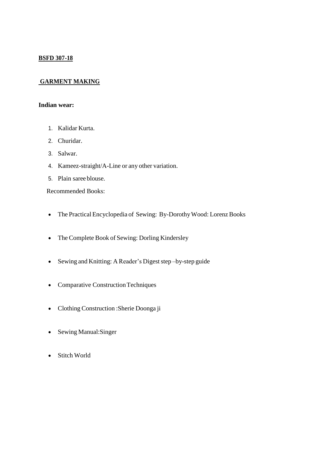#### **BSFD 307-18**

#### **GARMENT MAKING**

#### **Indian wear:**

- 1. Kalidar Kurta.
- 2. Churidar.
- 3. Salwar.
- 4. Kameez-straight/A-Line or any other variation.
- 5. Plain saree blouse.

Recommended Books:

- The Practical Encyclopedia of Sewing: By-DorothyWood: Lorenz Books
- The Complete Book of Sewing: Dorling Kindersley
- Sewing and Knitting: A Reader's Digeststep –by-step guide
- Comparative Construction Techniques
- Clothing Construction :Sherie Doonga ji
- Sewing Manual: Singer
- Stitch World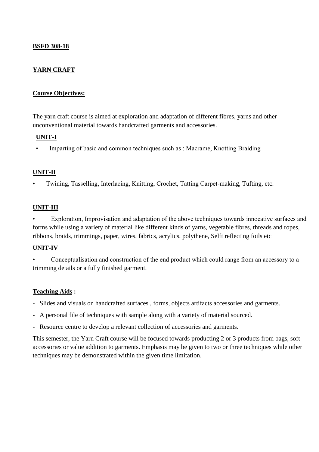#### **BSFD 308-18**

#### **YARN CRAFT**

#### **Course Objectives:**

The yarn craft course is aimed at exploration and adaptation of different fibres, yarns and other unconventional material towards handcrafted garments and accessories.

#### **UNIT-I**

Imparting of basic and common techniques such as : Macrame, Knotting Braiding

#### **UNIT-II**

• Twining, Tasselling, Interlacing, Knitting, Crochet, Tatting Carpet-making, Tufting, etc.

#### **UNIT-III**

Exploration, Improvisation and adaptation of the above techniques towards innocative surfaces and forms while using a variety of material like different kinds of yarns, vegetable fibres, threads and ropes, ribbons, braids, trimmings, paper, wires, fabrics, acrylics, polythene, Selft reflecting foils etc

#### **UNIT-IV**

• Conceptualisation and construction of the end product which could range from an accessory to a trimming details or a fully finished garment.

#### **Teaching Aids :**

- Slides and visuals on handcrafted surfaces , forms, objects artifacts accessories and garments.
- A personal file of techniques with sample along with a variety of material sourced.
- Resource centre to develop a relevant collection of accessories and garments.

This semester, the Yarn Craft course will be focused towards producting 2 or 3 products from bags, soft accessories or value addition to garments. Emphasis may be given to two or three techniques while other techniques may be demonstrated within the given time limitation.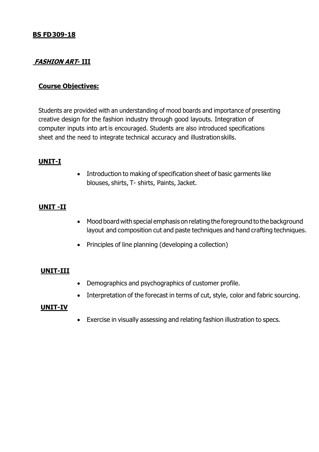#### **FASHION ART- III**

#### **Course Objectives:**

Students are provided with an understanding of mood boards and importance of presenting creative design for the fashion industry through good layouts. Integration of computer inputs into art is encouraged. Students are also introduced specifications sheet and the need to integrate technical accuracy and illustrationskills.

#### **UNIT-I**

• Introduction to making of specification sheet of basic garments like blouses, shirts, T- shirts, Paints, Jacket.

#### **UNIT -II**

- Mood board with special emphasis on relating the foreground to the background layout and composition cut and paste techniques and hand crafting techniques.
- Principles of line planning (developing a collection)

#### **UNIT-III**

- Demographics and psychographics of customer profile.
- Interpretation of the forecast in terms of cut, style, color and fabric sourcing.

#### **UNIT-IV**

Exercise in visually assessing and relating fashion illustration to specs.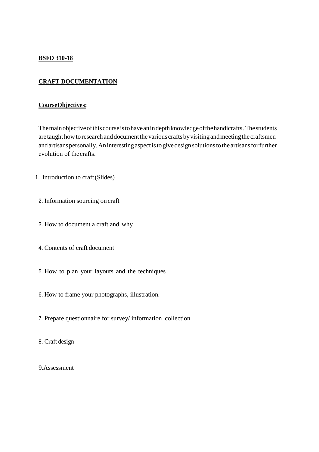#### **BSFD 310-18**

#### **CRAFT DOCUMENTATION**

#### **CourseObjectives:**

Themainobjectiveofthiscourseistohaveanindepthknowledgeofthehandicrafts.Thestudents are taught how to research and document the various crafts by visiting and meeting the craftsmen and artisans personally. An interesting aspect is to give design solutions to the artisans for further evolution of thecrafts.

- 1. Introduction to craft(Slides)
- 2. Information sourcing on craft
- 3. How to document a craft and why
- 4. Contents of craft document
- 5. How to plan your layouts and the techniques
- 6. How to frame your photographs, illustration.
- 7. Prepare questionnaire for survey/ information collection
- 8. Craft design
- 9.Assessment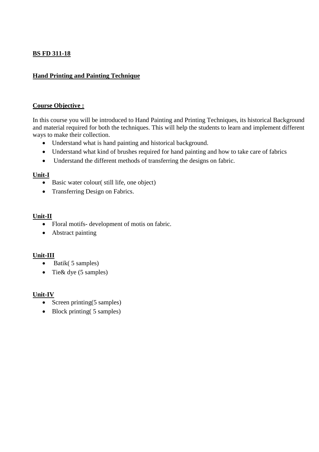#### **BS FD 311-18**

#### **Hand Printing and Painting Technique**

#### **Course Objective :**

In this course you will be introduced to Hand Painting and Printing Techniques, its historical Background and material required for both the techniques. This will help the students to learn and implement different ways to make their collection.

- Understand what is hand painting and historical background.
- Understand what kind of brushes required for hand painting and how to take care of fabrics
- Understand the different methods of transferring the designs on fabric.

#### **Unit-I**

- Basic water colour( still life, one object)
- Transferring Design on Fabrics.

#### **Unit-II**

- Floral motifs- development of motis on fabric.
- Abstract painting

#### **Unit-III**

- Batik( 5 samples)
- Tie & dye (5 samples)

#### **Unit-IV**

- Screen printing $(5 \text{ samples})$
- Block printing (5 samples)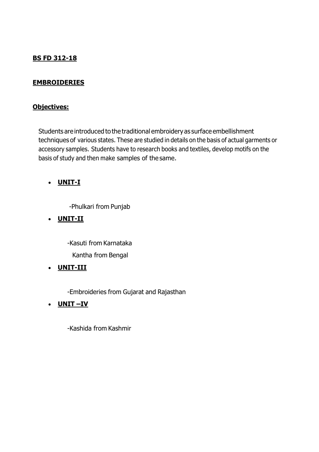#### **BS FD 312-18**

#### **EMBROIDERIES**

#### **Objectives:**

Students are introduced to the traditional embroidery as surface embellishment techniques of various states. These are studied in details on the basis of actual garments or accessory samples. Students have to research books and textiles, develop motifs on the basis of study and then make samples of the same.

#### **UNIT-I**

-Phulkari from Punjab

#### **UNIT-II**

-Kasuti from Karnataka Kantha from Bengal

#### **UNIT-III**

-Embroideries from Gujarat and Rajasthan

#### **UNIT –IV**

-Kashida from Kashmir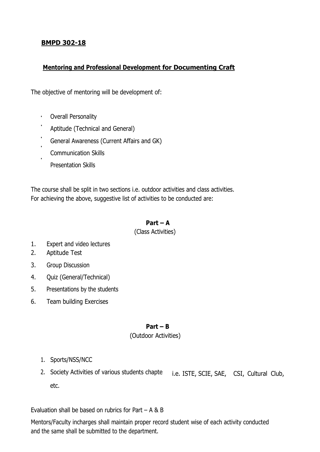#### **BMPD 302-18**

#### **Mentoring and Professional Development for Documenting Craft**

The objective of mentoring will be development of:

- $\mathbf{r} = \mathbf{r}$ Overall Personality
- Aptitude (Technical and General)
- General Awareness (Current Affairs and GK)
- Communication Skills
- Presentation Skills

The course shall be split in two sections i.e. outdoor activities and class activities. For achieving the above, suggestive list of activities to be conducted are:

#### **Part – A**

(Class Activities)

- 1. Expert and video lectures
- 2. Aptitude Test
- 3. Group Discussion
- 4. Quiz (General/Technical)
- 5. Presentations by the students
- 6. Team building Exercises

#### **Part – B**

#### (Outdoor Activities)

- 1. Sports/NSS/NCC
- 2. Society Activities of various students chapte i.e. ISTE, SCIE, SAE, CSI, Cultural Club, etc.

Evaluation shall be based on rubrics for Part – A & B

Mentors/Faculty incharges shall maintain proper record student wise of each activity conducted and the same shall be submitted to the department.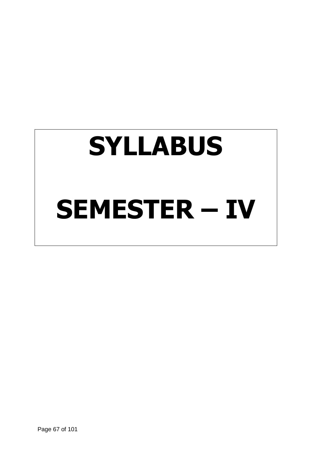# **SYLLABUS SEMESTER – IV**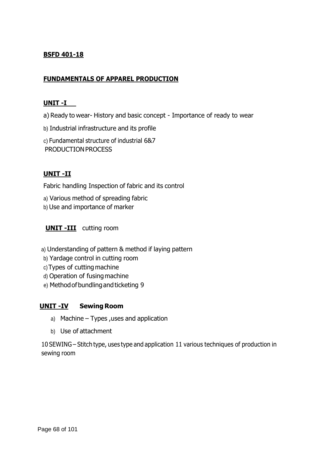#### **BSFD 401-18**

#### **FUNDAMENTALS OF APPAREL PRODUCTION**

#### **UNIT -I**

a) Ready to wear- History and basic concept - Importance of ready to wear

b) Industrial infrastructure and its profile

c) Fundamental structure of industrial 6&7 PRODUCTION PROCESS

#### **UNIT -II**

Fabric handling Inspection of fabric and its control

- a) Various method of spreading fabric
- b) Use and importance of marker

#### **UNIT -III** cutting room

- a) Understanding of pattern & method if laying pattern
- b) Yardage control in cutting room
- c)Types of cutting machine
- d) Operation of fusingmachine
- e) Methodofbundlingand ticketing 9

#### **UNIT -IV Sewing Room**

- a) Machine Types ,uses and application
- b) Use of attachment

10 SEWING – Stitch type, uses type and application 11 various techniques of production in sewing room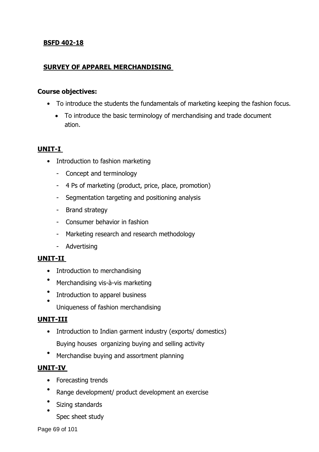#### **BSFD 402-18**

#### **SURVEY OF APPAREL MERCHANDISING**

#### **Course objectives:**

- To introduce the students the fundamentals of marketing keeping the fashion focus.
	- To introduce the basic terminology of merchandising and trade document ation.

#### **UNIT-I**

- Introduction to fashion marketing
	- Concept and terminology
	- 4 Ps of marketing (product, price, place, promotion)
	- Segmentation targeting and positioning analysis
	- Brand strategy
	- Consumer behavior in fashion
	- Marketing research and research methodology
	- Advertising

#### **UNIT-II**

- Introduction to merchandising
- Merchandising vis-à-vis marketing
- • Introduction to apparel business
- Uniqueness of fashion merchandising

#### **UNIT-III**

- Introduction to Indian garment industry (exports/ domestics) Buying houses organizing buying and selling activity
- Merchandise buying and assortment planning

#### **UNIT-IV**

- Forecasting trends
- Range development/ product development an exercise
- • Sizing standards

Spec sheet study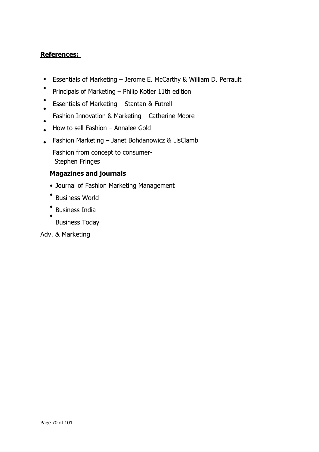#### **References:**

- Essentials of Marketing – Jerome E. McCarthy & William D. Perrault
- Principals of Marketing – Philip Kotler 11th edition
- Essentials of Marketing – Stantan & Futrell
- Fashion Innovation & Marketing – Catherine Moore
- • How to sell Fashion – Annalee Gold
- Fashion Marketing – Janet Bohdanowicz & LisClamb

Fashion from concept to consumer-Stephen Fringes

#### **Magazines and journals**

- Journal of Fashion Marketing Management
- Business World
- • Business India
	- Business Today

#### Adv. & Marketing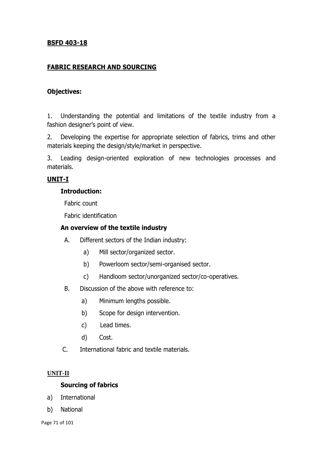#### **BSFD 403-18**

#### **FABRIC RESEARCH AND SOURCING**

#### **Objectives:**

1. Understanding the potential and limitations of the textile industry from a fashion designer's point of view.

2. Developing the expertise for appropriate selection of fabrics, trims and other materials keeping the design/style/market in perspective.

3. Leading design-oriented exploration of new technologies processes and materials.

#### **UNIT-I**

#### **Introduction:**

Fabric count

Fabric identification

#### **An overview of the textile industry**

- A. Different sectors of the Indian industry:
	- a) Mill sector/organized sector.
	- b) Powerloom sector/semi-organised sector.
	- c) Handloom sector/unorganized sector/co-operatives.
- B. Discussion of the above with reference to:
	- a) Minimum lengths possible.
	- b) Scope for design intervention.
	- c) Lead times.
	- d) Cost.
- C. International fabric and textile materials.

#### **UNIT-II**

#### **Sourcing of fabrics**

- a) International
- b) National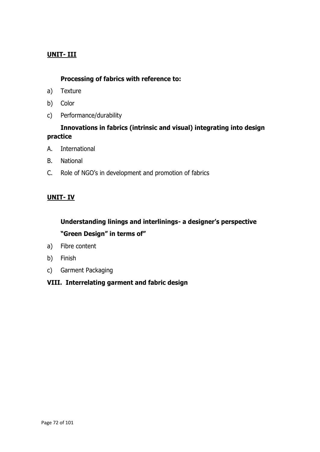#### **UNIT- III**

#### **Processing of fabrics with reference to:**

- a) Texture
- b) Color
- c) Performance/durability

#### **Innovations in fabrics (intrinsic and visual) integrating into design practice**

- A. International
- B. National
- C. Role of NGO's in development and promotion of fabrics

#### **UNIT- IV**

#### **Understanding linings and interlinings- a designer's perspective "Green Design" in terms of"**

- a) Fibre content
- b) Finish
- c) Garment Packaging

#### **VIII. Interrelating garment and fabric design**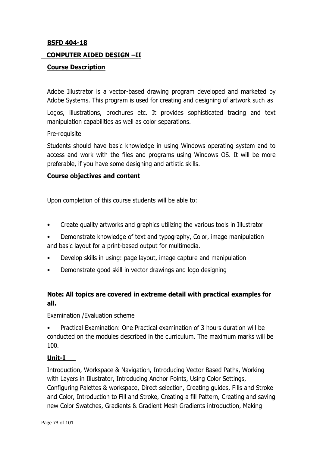#### **BSFD 404-18**

#### **COMPUTER AIDED DESIGN –II**

#### **Course Description**

Adobe Illustrator is a vector-based drawing program developed and marketed by Adobe Systems. This program is used for creating and designing of artwork such as

Logos, illustrations, brochures etc. It provides sophisticated tracing and text manipulation capabilities as well as color separations.

#### Pre-requisite

Students should have basic knowledge in using Windows operating system and to access and work with the files and programs using Windows OS. It will be more preferable, if you have some designing and artistic skills.

#### **Course objectives and content**

Upon completion of this course students will be able to:

- Create quality artworks and graphics utilizing the various tools in Illustrator
- Demonstrate knowledge of text and typography, Color, image manipulation and basic layout for a print-based output for multimedia.
- Develop skills in using: page layout, image capture and manipulation
- Demonstrate good skill in vector drawings and logo designing

# **Note: All topics are covered in extreme detail with practical examples for all.**

Examination /Evaluation scheme

• Practical Examination: One Practical examination of 3 hours duration will be conducted on the modules described in the curriculum. The maximum marks will be 100.

#### **Unit-I**

Introduction, Workspace & Navigation, Introducing Vector Based Paths, Working with Layers in Illustrator, Introducing Anchor Points, Using Color Settings, Configuring Palettes & workspace, Direct selection, Creating guides, Fills and Stroke and Color, Introduction to Fill and Stroke, Creating a fill Pattern, Creating and saving new Color Swatches, Gradients & Gradient Mesh Gradients introduction, Making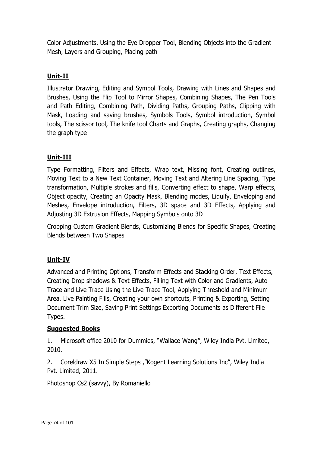Color Adjustments, Using the Eye Dropper Tool, Blending Objects into the Gradient Mesh, Layers and Grouping, Placing path

# **Unit-II**

Illustrator Drawing, Editing and Symbol Tools, Drawing with Lines and Shapes and Brushes, Using the Flip Tool to Mirror Shapes, Combining Shapes, The Pen Tools and Path Editing, Combining Path, Dividing Paths, Grouping Paths, Clipping with Mask, Loading and saving brushes, Symbols Tools, Symbol introduction, Symbol tools, The scissor tool, The knife tool Charts and Graphs, Creating graphs, Changing the graph type

# **Unit-III**

Type Formatting, Filters and Effects, Wrap text, Missing font, Creating outlines, Moving Text to a New Text Container, Moving Text and Altering Line Spacing, Type transformation, Multiple strokes and fills, Converting effect to shape, Warp effects, Object opacity, Creating an Opacity Mask, Blending modes, Liquify, Enveloping and Meshes, Envelope introduction, Filters, 3D space and 3D Effects, Applying and Adjusting 3D Extrusion Effects, Mapping Symbols onto 3D

Cropping Custom Gradient Blends, Customizing Blends for Specific Shapes, Creating Blends between Two Shapes

# **Unit-IV**

Advanced and Printing Options, Transform Effects and Stacking Order, Text Effects, Creating Drop shadows & Text Effects, Filling Text with Color and Gradients, Auto Trace and Live Trace Using the Live Trace Tool, Applying Threshold and Minimum Area, Live Painting Fills, Creating your own shortcuts, Printing & Exporting, Setting Document Trim Size, Saving Print Settings Exporting Documents as Different File Types.

# **Suggested Books**

1. Microsoft office 2010 for Dummies, "Wallace Wang", Wiley India Pvt. Limited, 2010.

2. Coreldraw X5 In Simple Steps ,"Kogent Learning Solutions Inc", Wiley India Pvt. Limited, 2011.

Photoshop Cs2 (savvy), By Romaniello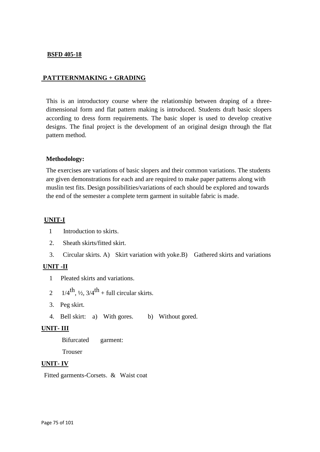#### **BSFD 405-18**

#### **PATTTERNMAKING + GRADING**

This is an introductory course where the relationship between draping of a threedimensional form and flat pattern making is introduced. Students draft basic slopers according to dress form requirements. The basic sloper is used to develop creative designs. The final project is the development of an original design through the flat pattern method.

#### **Methodology:**

The exercises are variations of basic slopers and their common variations. The students are given demonstrations for each and are required to make paper patterns along with muslin test fits. Design possibilities/variations of each should be explored and towards the end of the semester a complete term garment in suitable fabric is made.

#### **UNIT-I**

- 1 Introduction to skirts.
- 2. Sheath skirts/fitted skirt.
- 3. Circular skirts. A) Skirt variation with yoke.B) Gathered skirts and variations

#### **UNIT -II**

- 1 Pleated skirts and variations.
- 2  $1/4$ <sup>th</sup>,  $\frac{1}{2}$ ,  $3/4$ <sup>th</sup> + full circular skirts.
	- 3. Peg skirt.
	- 4. Bell skirt: a) With gores. b) Without gored.

#### **UNIT- III**

**Bifurcated** garment:

Trouser

#### **UNIT- IV**

Fitted garments-Corsets. & Waist coat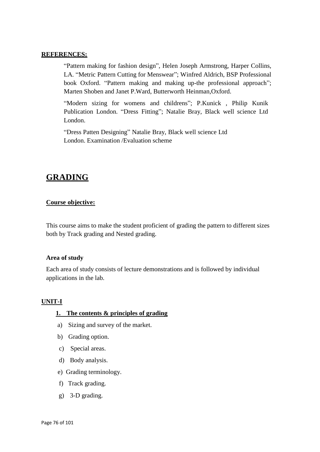#### **REFERENCES:**

"Pattern making for fashion design", Helen Joseph Armstrong, Harper Collins, LA. "Metric Pattern Cutting for Menswear"; Winfred Aldrich, BSP Professional book Oxford. "Pattern making and making up-the professional approach"; Marten Shoben and Janet P.Ward, Butterworth Heinman,Oxford.

"Modern sizing for womens and childrens"; P.Kunick , Philip Kunik Publication London. "Dress Fitting"; Natalie Bray, Black well science Ltd London.

"Dress Patten Designing" Natalie Bray, Black well science Ltd London. Examination /Evaluation scheme

# **GRADING**

#### **Course objective:**

This course aims to make the student proficient of grading the pattern to different sizes both by Track grading and Nested grading.

#### **Area of study**

Each area of study consists of lecture demonstrations and is followed by individual applications in the lab.

#### **UNIT-I**

#### **1. The contents & principles of grading**

- a) Sizing and survey of the market.
- b) Grading option.
- c) Special areas.
- d) Body analysis.
- e) Grading terminology.
- f) Track grading.
- g) 3-D grading.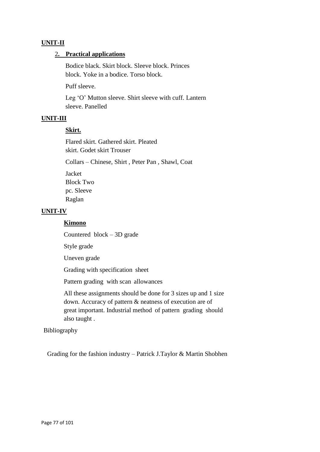#### **UNIT-II**

#### 2**. Practical applications**

Bodice black. Skirt block. Sleeve block. Princes block. Yoke in a bodice. Torso block.

Puff sleeve.

Leg 'O' Mutton sleeve. Shirt sleeve with cuff. Lantern sleeve. Panelled

#### **UNIT-III**

#### **Skirt.**

Flared skirt. Gathered skirt. Pleated skirt. Godet skirt Trouser

Collars – Chinese, Shirt , Peter Pan , Shawl, Coat

Jacket Block Two pc. Sleeve Raglan

#### **UNIT-IV**

#### **Kimono**

Countered block – 3D grade

Style grade

Uneven grade

Grading with specification sheet

Pattern grading with scan allowances

All these assignments should be done for 3 sizes up and 1 size down. Accuracy of pattern & neatness of execution are of great important. Industrial method of pattern grading should also taught .

#### Bibliography

Grading for the fashion industry – Patrick J.Taylor & Martin Shobhen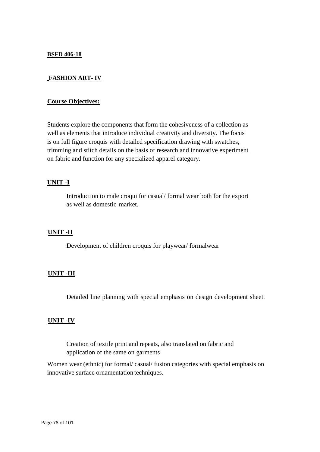#### **BSFD 406-18**

#### **FASHION ART- IV**

#### **Course Objectives:**

Students explore the components that form the cohesiveness of a collection as well as elements that introduce individual creativity and diversity. The focus is on full figure croquis with detailed specification drawing with swatches, trimming and stitch details on the basis of research and innovative experiment on fabric and function for any specialized apparel category.

#### **UNIT -I**

Introduction to male croqui for casual/ formal wear both for the export as well as domestic market.

#### **UNIT -II**

Development of children croquis for playwear/ formalwear

#### **UNIT -III**

Detailed line planning with special emphasis on design development sheet.

#### **UNIT -IV**

Creation of textile print and repeats, also translated on fabric and application of the same on garments

Women wear (ethnic) for formal/ casual/ fusion categories with special emphasis on innovative surface ornamentation techniques.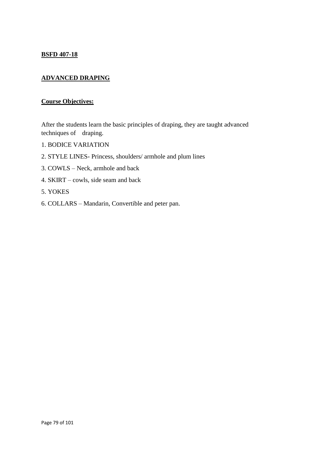#### **BSFD 407-18**

# **ADVANCED DRAPING**

#### **Course Objectives:**

After the students learn the basic principles of draping, they are taught advanced techniques of draping.

- 1. BODICE VARIATION
- 2. STYLE LINES- Princess, shoulders/ armhole and plum lines
- 3. COWLS Neck, armhole and back
- 4. SKIRT cowls, side seam and back
- 5. YOKES
- 6. COLLARS Mandarin, Convertible and peter pan.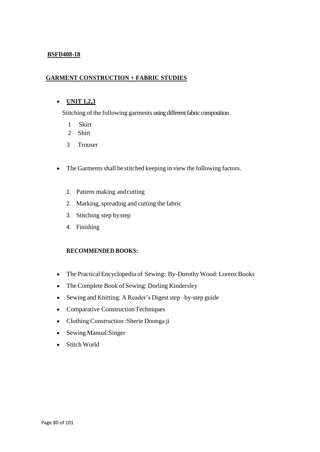#### **BSFD408-18**

#### **GARMENT CONSTRUCTION + FABRIC STUDIES**

#### **UNIT 1,2,3**

Stitching of the following garments using different fabric composition

- 1 Skirt
- 2 Shirt
- 3 Trouser
- The Garments shall be stitched keeping in view the following factors.
	- 1. Pattern making andcutting
	- 2. Marking, spreading and cutting the fabric
	- 3. Stitching step bystep
	- 4. Finishing

#### **RECOMMENDED BOOKS:**

- The Practical Encyclopedia of Sewing: By-Dorothy Wood: Lorenz Books
- The Complete Book of Sewing: Dorling Kindersley
- Sewing and Knitting: A Reader's Digest step –by-step guide
- Comparative Construction Techniques
- Clothing Construction :Sherie Doonga ji
- Sewing Manual: Singer
- Stitch World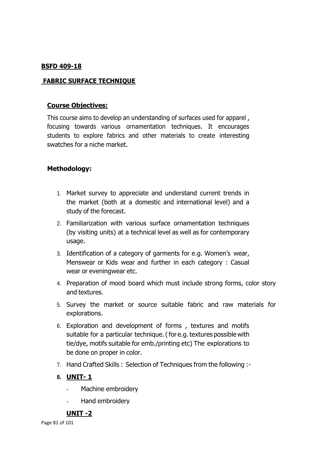#### **BSFD 409-18**

# **FABRIC SURFACE TECHNIQUE**

#### **Course Objectives:**

This course aims to develop an understanding of surfaces used for apparel , focusing towards various ornamentation techniques. It encourages students to explore fabrics and other materials to create interesting swatches for a niche market.

# **Methodology:**

- 1. Market survey to appreciate and understand current trends in the market (both at a domestic and international level) and a study of the forecast.
- 2. Familiarization with various surface ornamentation techniques (by visiting units) at a technical level as well as for contemporary usage.
- 3. Identification of a category of garments for e.g. Women's wear, Menswear or Kids wear and further in each category : Casual wear or eveningwear etc.
- 4. Preparation of mood board which must include strong forms, color story and textures.
- 5. Survey the market or source suitable fabric and raw materials for explorations.
- 6. Exploration and development of forms , textures and motifs suitable for a particular technique. (for e.g. textures possible with tie/dye, motifs suitable for emb./printing etc) The explorations to be done on proper in color.
- 7. Hand Crafted Skills : Selection of Techniques from the following :-

# **8. UNIT- 1**

- Machine embroidery
- Hand embroidery

#### **UNIT -2**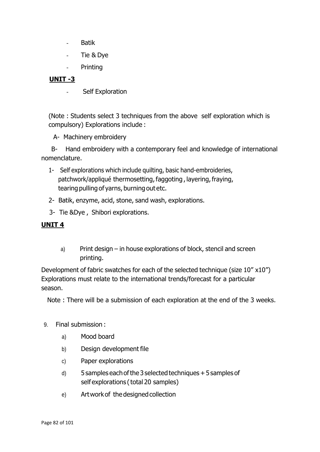- Batik
- Tie & Dye
- Printing

# **UNIT -3**

- Self Exploration

(Note : Students select 3 techniques from the above self exploration which is compulsory) Explorations include :

A- Machinery embroidery

 B- Hand embroidery with a contemporary feel and knowledge of international nomenclature.

- 1- Self explorations which include quilting, basic hand-embroideries, patchwork/appliqué thermosetting, faggoting, layering, fraying, tearing pulling of yarns, burning out etc.
- 2- Batik, enzyme, acid, stone, sand wash, explorations.
- 3- Tie &Dye , Shibori explorations.

# **UNIT 4**

a) Print design – in house explorations of block, stencil and screen printing.

Development of fabric swatches for each of the selected technique (size 10" x10") Explorations must relate to the international trends/forecast for a particular season.

Note : There will be a submission of each exploration at the end of the 3 weeks.

- 9. Final submission :
	- a) Mood board
	- b) Design development file
	- c) Paper explorations
	- d) 5 samples eachofthe 3 selected techniques +5 samples of self explorations (total 20 samples)
	- e) Artworkof thedesignedcollection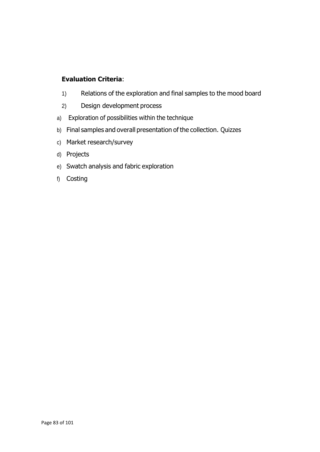# **Evaluation Criteria**:

- 1) Relations of the exploration and final samples to the mood board
- 2) Design development process
- a) Exploration of possibilities within the technique
- b) Final samples and overall presentation of the collection. Quizzes
- c) Market research/survey
- d) Projects
- e) Swatch analysis and fabric exploration
- f) Costing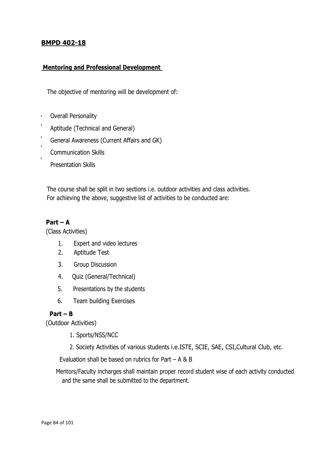## **BMPD 402-18**

#### **Mentoring and Professional Development**

The objective of mentoring will be development of:

- Overall Personality  $\mathbf{r}$
- Aptitude (Technical and General)
- General Awareness (Current Affairs and GK)
- Communication Skills
	- Presentation Skills

 The course shall be split in two sections i.e. outdoor activities and class activities. For achieving the above, suggestive list of activities to be conducted are:

#### **Part – A**

(Class Activities)

- 1. Expert and video lectures
- 2. Aptitude Test
- 3. Group Discussion
- 4. Quiz (General/Technical)
- 5. Presentations by the students
- 6. Team building Exercises

#### **Part – B**

(Outdoor Activities)

- 1. Sports/NSS/NCC
- 2. Society Activities of various students i.e.ISTE, SCIE, SAE, CSI,Cultural Club, etc.

Evaluation shall be based on rubrics for Part – A & B

 Mentors/Faculty incharges shall maintain proper record student wise of each activity conducted and the same shall be submitted to the department.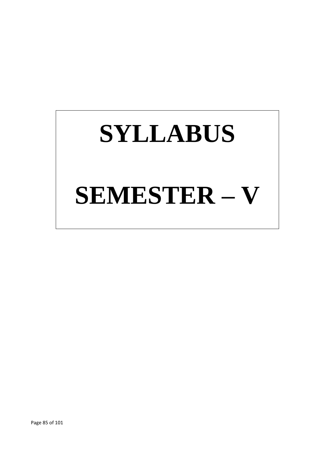# **SYLLABUS SEMESTER – V**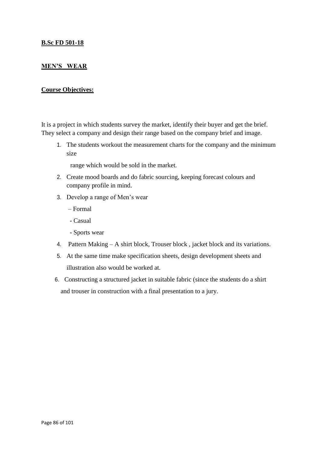#### **B.Sc FD 501-18**

#### **MEN'S WEAR**

#### **Course Objectives:**

It is a project in which students survey the market, identify their buyer and get the brief. They select a company and design their range based on the company brief and image.

1. The students workout the measurement charts for the company and the minimum size

range which would be sold in the market.

- 2. Create mood boards and do fabric sourcing, keeping forecast colours and company profile in mind.
- 3. Develop a range of Men's wear
	- Formal
	- Casual
	- Sports wear
- 4. Pattern Making A shirt block, Trouser block , jacket block and its variations.
- 5. At the same time make specification sheets, design development sheets and illustration also would be worked at.
- 6. Constructing a structured jacket in suitable fabric (since the students do a shirt and trouser in construction with a final presentation to a jury.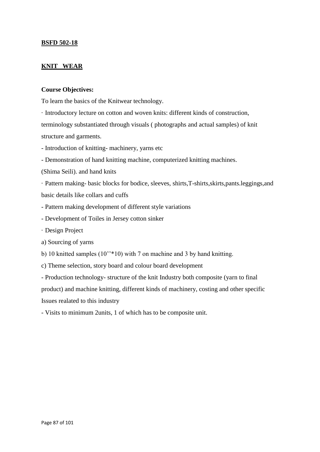#### **BSFD 502-18**

#### **KNIT WEAR**

#### **Course Objectives:**

To learn the basics of the Knitwear technology.

· Introductory lecture on cotton and woven knits: different kinds of construction, terminology substantiated through visuals ( photographs and actual samples) of knit structure and garments.

- Introduction of knitting- machinery, yarns etc

- Demonstration of hand knitting machine, computerized knitting machines.

(Shima Seili). and hand knits

· Pattern making- basic blocks for bodice, sleeves, shirts,T-shirts,skirts,pants.leggings,and basic details like collars and cuffs

- Pattern making development of different style variations
- Development of Toiles in Jersey cotton sinker
- · Design Project
- a) Sourcing of yarns
- b) 10 knitted samples (10''\*10) with 7 on machine and 3 by hand knitting.
- c) Theme selection, story board and colour board development

- Production technology- structure of the knit Industry both composite (yarn to final product) and machine knitting, different kinds of machinery, costing and other specific Issues realated to this industry

- Visits to minimum 2units, 1 of which has to be composite unit.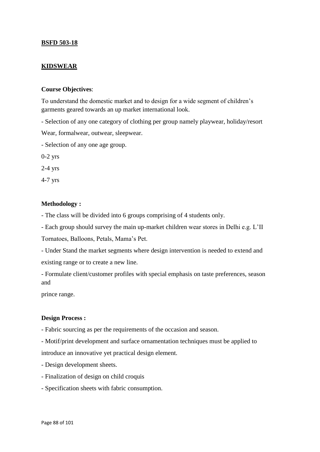#### **BSFD 503-18**

#### **KIDSWEAR**

#### **Course Objectives**:

To understand the domestic market and to design for a wide segment of children's garments geared towards an up market international look.

- Selection of any one category of clothing per group namely playwear, holiday/resort

Wear, formalwear, outwear, sleepwear.

- Selection of any one age group.

0-2 yrs

2-4 yrs

4-7 yrs

#### **Methodology :**

- The class will be divided into 6 groups comprising of 4 students only.

- Each group should survey the main up-market children wear stores in Delhi e.g. L'II

Tornatoes, Balloons, Petals, Mama's Pet.

- Under Stand the market segments where design intervention is needed to extend and existing range or to create a new line.

- Formulate client/customer profiles with special emphasis on taste preferences, season and

prince range.

#### **Design Process :**

- Fabric sourcing as per the requirements of the occasion and season.

- Motif/print development and surface ornamentation techniques must be applied to introduce an innovative yet practical design element.

- Design development sheets.

- Finalization of design on child croquis
- Specification sheets with fabric consumption.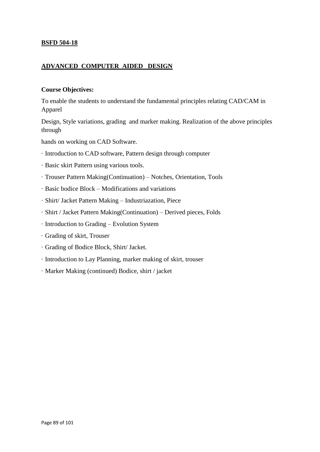#### **BSFD 504-18**

#### **ADVANCED COMPUTER AIDED DESIGN**

#### **Course Objectives:**

To enable the students to understand the fundamental principles relating CAD/CAM in Apparel

Design, Style variations, grading and marker making. Realization of the above principles through

hands on working on CAD Software.

- · Introduction to CAD software, Pattern design through computer
- · Basic skirt Pattern using various tools.
- · Trouser Pattern Making(Continuation) Notches, Orientation, Tools
- · Basic bodice Block Modifications and variations
- · Shirt/ Jacket Pattern Making Industriazation, Piece
- · Shirt / Jacket Pattern Making(Continuation) Derived pieces, Folds
- · Introduction to Grading Evolution System
- · Grading of skirt, Trouser
- · Grading of Bodice Block, Shirt/ Jacket.
- · Introduction to Lay Planning, marker making of skirt, trouser
- · Marker Making (continued) Bodice, shirt / jacket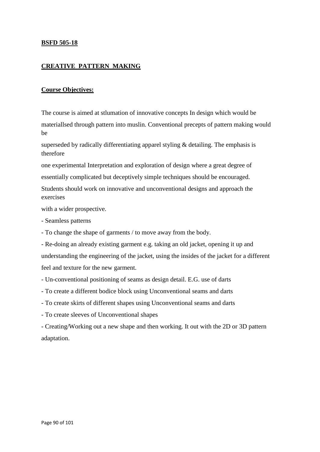#### **BSFD 505-18**

#### **CREATIVE PATTERN MAKING**

#### **Course Objectives:**

The course is aimed at stlumation of innovative concepts In design which would be materiallsed through pattern into muslin. Conventional precepts of pattern making would be

superseded by radically differentiating apparel styling & detailing. The emphasis is therefore

one experimental Interpretation and exploration of design where a great degree of essentially complicated but deceptively simple techniques should be encouraged.

Students should work on innovative and unconventional designs and approach the exercises

with a wider prospective.

- Seamless patterns

- To change the shape of garments / to move away from the body.

- Re-doing an already existing garment e.g. taking an old jacket, opening it up and understanding the engineering of the jacket, using the insides of the jacket for a different feel and texture for the new garment.

- Un-conventional positioning of seams as design detail. E.G. use of darts

- To create a different bodice block using Unconventional seams and darts

- To create skirts of different shapes using Unconventional seams and darts
- To create sleeves of Unconventional shapes

- Creating/Working out a new shape and then working. It out with the 2D or 3D pattern adaptation.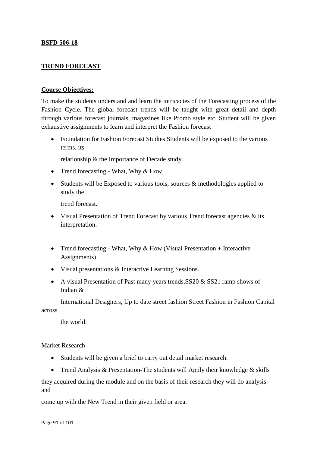#### **BSFD 506-18**

#### **TREND FORECAST**

#### **Course Objectives:**

To make the students understand and learn the intricacies of the Forecasting process of the Fashion Cycle. The global forecast trends will be taught with great detail and depth through various forecast journals, magazines like Promo style etc. Student will be given exhaustive assignments to learn and interpret the Fashion forecast

• Foundation for Fashion Forecast Studies Students will be exposed to the various terms, its

relationship & the Importance of Decade study.

- Trend forecasting What, Why  $&$  How
- Students will be Exposed to various tools, sources  $\&$  methodologies applied to study the

trend forecast.

- Visual Presentation of Trend Forecast by various Trend forecast agencies  $\&$  its interpretation.
- Trend forecasting What, Why  $& How$  (Visual Presentation + Interactive Assignments)
- Visual presentations & Interactive Learning Sessions.
- A visual Presentation of Past many years trends, SS20 & SS21 ramp shows of Indian &

International Designers, Up to date street fashion Street Fashion in Fashion Capital across

the world.

Market Research

- Students will be given a brief to carry out detail market research.
- Trend Analysis & Presentation-The students will Apply their knowledge & skills

they acquired during the module and on the basis of their research they will do analysis and

come up with the New Trend in their given field or area.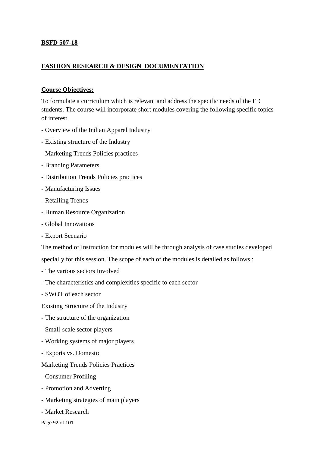#### **BSFD 507-18**

#### **FASHION RESEARCH & DESIGN DOCUMENTATION**

#### **Course Objectives:**

To formulate a curriculum which is relevant and address the specific needs of the FD students. The course will incorporate short modules covering the following specific topics of interest.

- Overview of the Indian Apparel Industry
- Existing structure of the Industry
- Marketing Trends Policies practices
- Branding Parameters
- Distribution Trends Policies practices
- Manufacturing Issues
- Retailing Trends
- Human Resource Organization
- Global Innovations
- Export Scenario

The method of Instruction for modules will be through analysis of case studies developed

specially for this session. The scope of each of the modules is detailed as follows :

- The various seciors Involved
- The characteristics and complexities specific to each sector
- SWOT of each sector

Existing Structure of the Industry

- The structure of the organization
- Small-scale sector players
- Working systems of major players
- Exports vs. Domestic

#### Marketing Trends Policies Practices

- Consumer Profiling
- Promotion and Adverting
- Marketing strategies of main players
- Market Research
- Page 92 of 101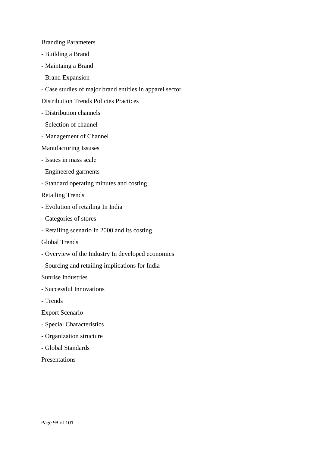#### Branding Parameters

- Building a Brand
- Maintaing a Brand
- Brand Expansion
- Case studies of major brand entitles in apparel sector

Distribution Trends Policies Practices

- Distribution channels
- Selection of channel
- Management of Channel

#### Manufacturing Issuses

- Issues in mass scale
- Engineered garments
- Standard operating minutes and costing

#### Retailing Trends

- Evolution of retailing In India
- Categories of stores
- Retailing scenario In 2000 and its costing

#### Global Trends

- Overview of the Industry In developed economics
- Sourcing and retailing implications for India

Sunrise Industries

- Successful Innovations
- Trends

Export Scenario

- Special Characteristics
- Organization structure
- Global Standards

Presentations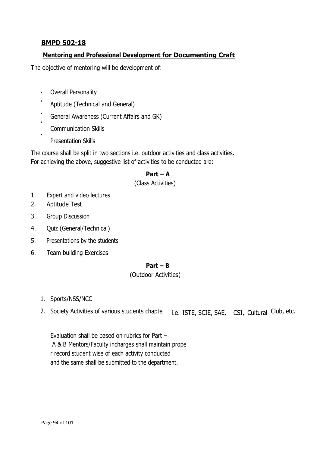# **BMPD 502-18**

# **Mentoring and Professional Development for Documenting Craft**

The objective of mentoring will be development of:

- $\mathbf{u} = \mathbf{0}$ Overall Personality
- Aptitude (Technical and General)
- General Awareness (Current Affairs and GK) l.
- Communication Skills
- Presentation Skills

The course shall be split in two sections i.e. outdoor activities and class activities. For achieving the above, suggestive list of activities to be conducted are:

# **Part – A**

#### (Class Activities)

- 1. Expert and video lectures
- 2. Aptitude Test
- 3. Group Discussion
- 4. Quiz (General/Technical)
- 5. Presentations by the students
- 6. Team building Exercises

#### **Part – B**

#### (Outdoor Activities)

- 1. Sports/NSS/NCC
- 2. Society Activities of various students chapte i.e. ISTE, SCIE, SAE, CSI, Cultural Club, etc.

Evaluation shall be based on rubrics for Part – A & B Mentors/Faculty incharges shall maintain prope r record student wise of each activity conducted and the same shall be submitted to the department.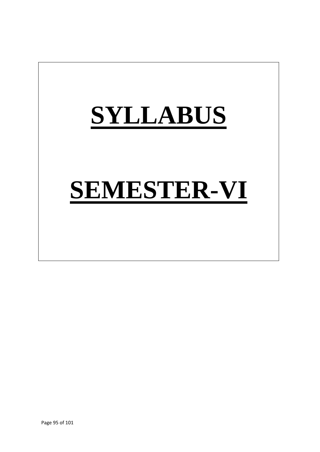# **SYLLABUS SEMESTER-VI**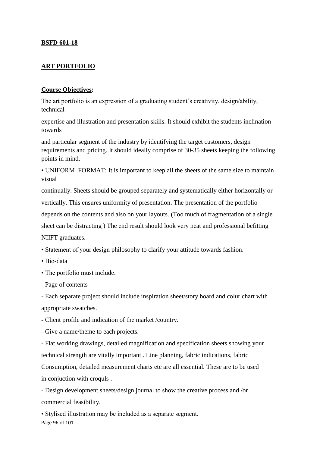#### **BSFD 601-18**

#### **ART PORTFOLIO**

#### **Course Objectives:**

The art portfolio is an expression of a graduating student's creativity, design/ability, technical

expertise and illustration and presentation skills. It should exhibit the students inclination towards

and particular segment of the industry by identifying the target customers, design requirements and pricing. It should ideally comprise of 30-35 sheets keeping the following points in mind.

• UNIFORM FORMAT: It is important to keep all the sheets of the same size to maintain visual

continually. Sheets should be grouped separately and systematically either horizontally or vertically. This ensures uniformity of presentation. The presentation of the portfolio depends on the contents and also on your layouts. (Too much of fragmentation of a single sheet can be distracting ) The end result should look very neat and professional befitting NIIFT graduates.

• Statement of your design philosophy to clarify your attitude towards fashion.

- Bio-data
- The portfolio must include.
- Page of contents

- Each separate project should include inspiration sheet/story board and colur chart with appropriate swatches.

- Client profile and indication of the market /country.

- Give a name/theme to each projects.

- Flat working drawings, detailed magnification and specification sheets showing your technical strength are vitally important . Line planning, fabric indications, fabric Consumption, detailed measurement charts etc are all essential. These are to be used in conjuction with croquls .

- Design development sheets/design journal to show the creative process and /or commercial feasibility.

Page 96 of 101 • Stylised illustration may be included as a separate segment.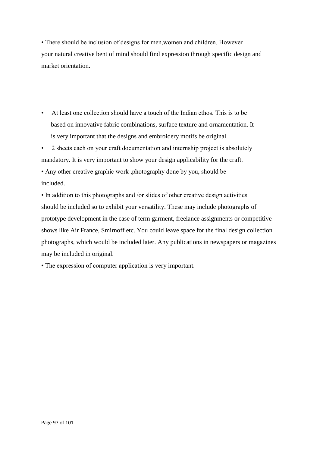• There should be inclusion of designs for men,women and children. However your natural creative bent of mind should find expression through specific design and market orientation.

- At least one collection should have a touch of the Indian ethos. This is to be based on innovative fabric combinations, surface texture and ornamentation. It is very important that the designs and embroidery motifs be original.
- 2 sheets each on your craft documentation and internship project is absolutely mandatory. It is very important to show your design applicability for the craft. • Any other creative graphic work ,photography done by you, should be included.

• In addition to this photographs and /or slides of other creative design activities should be included so to exhibit your versatility. These may include photographs of prototype development in the case of term garment, freelance assignments or competitive shows like Air France, Smirnoff etc. You could leave space for the final design collection photographs, which would be included later. Any publications in newspapers or magazines may be included in original.

• The expression of computer application is very important.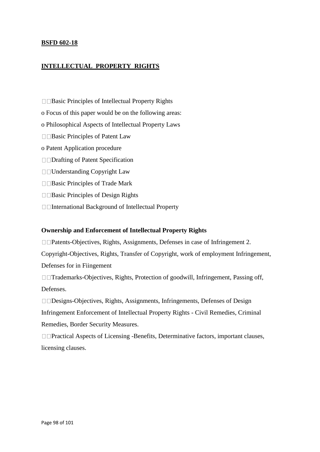#### **BSFD 602-18**

#### **INTELLECTUAL PROPERTY RIGHTS**

- $\square$   $\square$  Basic Principles of Intellectual Property Rights
- o Focus of this paper would be on the following areas:
- o Philosophical Aspects of Intellectual Property Laws
- $\square$  Basic Principles of Patent Law
- o Patent Application procedure
- □□Drafting of Patent Specification
- □□Understanding Copyright Law
- $\square$  Basic Principles of Trade Mark
- $\square$  Basic Principles of Design Rights
- International Background of Intellectual Property

#### **Ownership and Enforcement of Intellectual Property Rights**

□□Patents-Objectives, Rights, Assignments, Defenses in case of Infringement 2.

Copyright-Objectives, Rights, Transfer of Copyright, work of employment Infringement, Defenses for in Fiingement

□□Trademarks-Objectives, Rights, Protection of goodwill, Infringement, Passing off, Defenses.

□□Designs-Objectives, Rights, Assignments, Infringements, Defenses of Design Infringement Enforcement of Intellectual Property Rights - Civil Remedies, Criminal Remedies, Border Security Measures.

□□Practical Aspects of Licensing -Benefits, Determinative factors, important clauses, licensing clauses.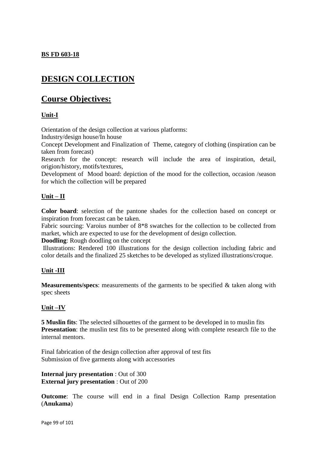#### **BS FD 603-18**

# **DESIGN COLLECTION**

# **Course Objectives:**

#### **Unit-I**

Orientation of the design collection at various platforms:

Industry/design house/In house

Concept Development and Finalization of Theme, category of clothing (inspiration can be taken from forecast)

Research for the concept: research will include the area of inspiration, detail, origion/history, motifs/textures,

Development of Mood board: depiction of the mood for the collection, occasion /season for which the collection will be prepared

#### **Unit – II**

**Color board**: selection of the pantone shades for the collection based on concept or inspiration from forecast can be taken.

Fabric sourcing: Varoius number of  $8*8$  swatches for the collection to be collected from market, which are expected to use for the development of design collection.

**Doodling**: Rough doodling on the concept

Illustrations: Rendered 100 illustrations for the design collection including fabric and color details and the finalized 25 sketches to be developed as stylized illustrations/croque.

#### **Unit -III**

**Measurements/specs**: measurements of the garments to be specified & taken along with spec sheets

#### **Unit –IV**

**5 Muslin fits**: The selected silhouettes of the garment to be developed in to muslin fits **Presentation**: the muslin test fits to be presented along with complete research file to the internal mentors.

Final fabrication of the design collection after approval of test fits Submission of five garments along with accessories

**Internal jury presentation** : Out of 300 **External jury presentation** : Out of 200

**Outcome**: The course will end in a final Design Collection Ramp presentation (**Anukama**)